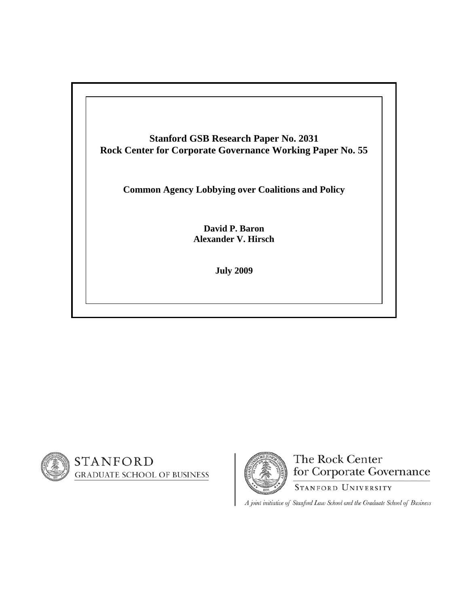





A joint initiative of Stanford Law School and the Graduate School of Business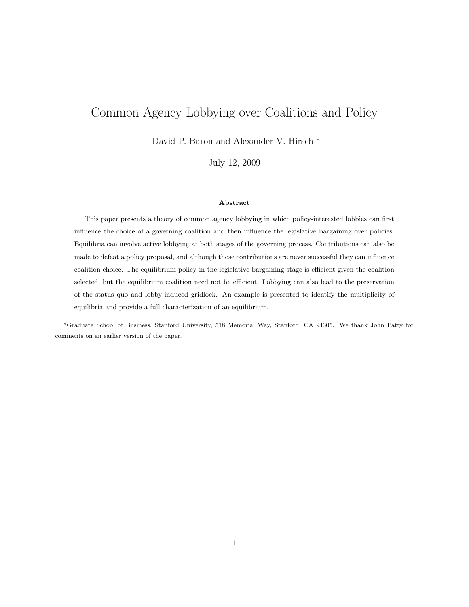# Common Agency Lobbying over Coalitions and Policy

David P. Baron and Alexander V. Hirsch <sup>∗</sup>

July 12, 2009

#### Abstract

This paper presents a theory of common agency lobbying in which policy-interested lobbies can first influence the choice of a governing coalition and then influence the legislative bargaining over policies. Equilibria can involve active lobbying at both stages of the governing process. Contributions can also be made to defeat a policy proposal, and although those contributions are never successful they can influence coalition choice. The equilibrium policy in the legislative bargaining stage is efficient given the coalition selected, but the equilibrium coalition need not be efficient. Lobbying can also lead to the preservation of the status quo and lobby-induced gridlock. An example is presented to identify the multiplicity of equilibria and provide a full characterization of an equilibrium.

<sup>∗</sup>Graduate School of Business, Stanford University, 518 Memorial Way, Stanford, CA 94305. We thank John Patty for comments on an earlier version of the paper.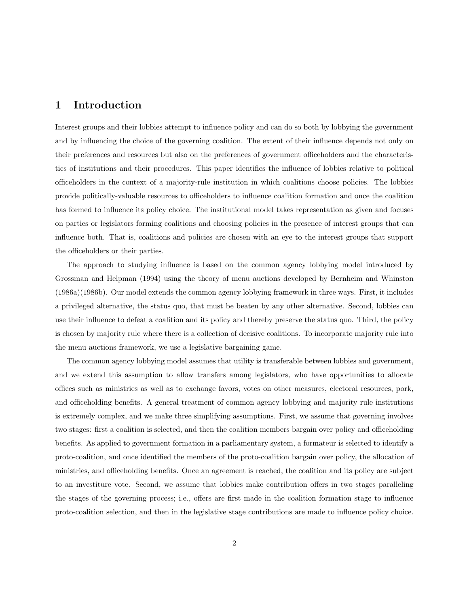# 1 Introduction

Interest groups and their lobbies attempt to influence policy and can do so both by lobbying the government and by influencing the choice of the governing coalition. The extent of their influence depends not only on their preferences and resources but also on the preferences of government officeholders and the characteristics of institutions and their procedures. This paper identifies the influence of lobbies relative to political officeholders in the context of a majority-rule institution in which coalitions choose policies. The lobbies provide politically-valuable resources to officeholders to influence coalition formation and once the coalition has formed to influence its policy choice. The institutional model takes representation as given and focuses on parties or legislators forming coalitions and choosing policies in the presence of interest groups that can influence both. That is, coalitions and policies are chosen with an eye to the interest groups that support the officeholders or their parties.

The approach to studying influence is based on the common agency lobbying model introduced by Grossman and Helpman (1994) using the theory of menu auctions developed by Bernheim and Whinston (1986a)(1986b). Our model extends the common agency lobbying framework in three ways. First, it includes a privileged alternative, the status quo, that must be beaten by any other alternative. Second, lobbies can use their influence to defeat a coalition and its policy and thereby preserve the status quo. Third, the policy is chosen by majority rule where there is a collection of decisive coalitions. To incorporate majority rule into the menu auctions framework, we use a legislative bargaining game.

The common agency lobbying model assumes that utility is transferable between lobbies and government, and we extend this assumption to allow transfers among legislators, who have opportunities to allocate offices such as ministries as well as to exchange favors, votes on other measures, electoral resources, pork, and officeholding benefits. A general treatment of common agency lobbying and majority rule institutions is extremely complex, and we make three simplifying assumptions. First, we assume that governing involves two stages: first a coalition is selected, and then the coalition members bargain over policy and officeholding benefits. As applied to government formation in a parliamentary system, a formateur is selected to identify a proto-coalition, and once identified the members of the proto-coalition bargain over policy, the allocation of ministries, and officeholding benefits. Once an agreement is reached, the coalition and its policy are subject to an investiture vote. Second, we assume that lobbies make contribution offers in two stages paralleling the stages of the governing process; i.e., offers are first made in the coalition formation stage to influence proto-coalition selection, and then in the legislative stage contributions are made to influence policy choice.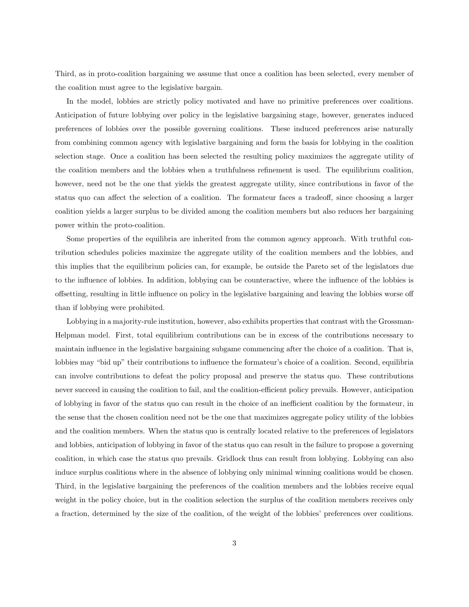Third, as in proto-coalition bargaining we assume that once a coalition has been selected, every member of the coalition must agree to the legislative bargain.

In the model, lobbies are strictly policy motivated and have no primitive preferences over coalitions. Anticipation of future lobbying over policy in the legislative bargaining stage, however, generates induced preferences of lobbies over the possible governing coalitions. These induced preferences arise naturally from combining common agency with legislative bargaining and form the basis for lobbying in the coalition selection stage. Once a coalition has been selected the resulting policy maximizes the aggregate utility of the coalition members and the lobbies when a truthfulness refinement is used. The equilibrium coalition, however, need not be the one that yields the greatest aggregate utility, since contributions in favor of the status quo can affect the selection of a coalition. The formateur faces a tradeoff, since choosing a larger coalition yields a larger surplus to be divided among the coalition members but also reduces her bargaining power within the proto-coalition.

Some properties of the equilibria are inherited from the common agency approach. With truthful contribution schedules policies maximize the aggregate utility of the coalition members and the lobbies, and this implies that the equilibrium policies can, for example, be outside the Pareto set of the legislators due to the influence of lobbies. In addition, lobbying can be counteractive, where the influence of the lobbies is offsetting, resulting in little influence on policy in the legislative bargaining and leaving the lobbies worse off than if lobbying were prohibited.

Lobbying in a majority-rule institution, however, also exhibits properties that contrast with the Grossman-Helpman model. First, total equilibrium contributions can be in excess of the contributions necessary to maintain influence in the legislative bargaining subgame commencing after the choice of a coalition. That is, lobbies may "bid up" their contributions to influence the formateur's choice of a coalition. Second, equilibria can involve contributions to defeat the policy proposal and preserve the status quo. These contributions never succeed in causing the coalition to fail, and the coalition-efficient policy prevails. However, anticipation of lobbying in favor of the status quo can result in the choice of an inefficient coalition by the formateur, in the sense that the chosen coalition need not be the one that maximizes aggregate policy utility of the lobbies and the coalition members. When the status quo is centrally located relative to the preferences of legislators and lobbies, anticipation of lobbying in favor of the status quo can result in the failure to propose a governing coalition, in which case the status quo prevails. Gridlock thus can result from lobbying. Lobbying can also induce surplus coalitions where in the absence of lobbying only minimal winning coalitions would be chosen. Third, in the legislative bargaining the preferences of the coalition members and the lobbies receive equal weight in the policy choice, but in the coalition selection the surplus of the coalition members receives only a fraction, determined by the size of the coalition, of the weight of the lobbies' preferences over coalitions.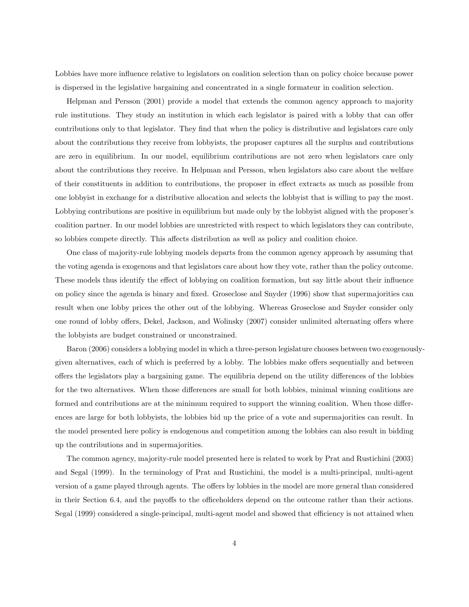Lobbies have more influence relative to legislators on coalition selection than on policy choice because power is dispersed in the legislative bargaining and concentrated in a single formateur in coalition selection.

Helpman and Persson (2001) provide a model that extends the common agency approach to majority rule institutions. They study an institution in which each legislator is paired with a lobby that can offer contributions only to that legislator. They find that when the policy is distributive and legislators care only about the contributions they receive from lobbyists, the proposer captures all the surplus and contributions are zero in equilibrium. In our model, equilibrium contributions are not zero when legislators care only about the contributions they receive. In Helpman and Persson, when legislators also care about the welfare of their constituents in addition to contributions, the proposer in effect extracts as much as possible from one lobbyist in exchange for a distributive allocation and selects the lobbyist that is willing to pay the most. Lobbying contributions are positive in equilibrium but made only by the lobbyist aligned with the proposer's coalition partner. In our model lobbies are unrestricted with respect to which legislators they can contribute, so lobbies compete directly. This affects distribution as well as policy and coalition choice.

One class of majority-rule lobbying models departs from the common agency approach by assuming that the voting agenda is exogenous and that legislators care about how they vote, rather than the policy outcome. These models thus identify the effect of lobbying on coalition formation, but say little about their influence on policy since the agenda is binary and fixed. Groseclose and Snyder (1996) show that supermajorities can result when one lobby prices the other out of the lobbying. Whereas Groseclose and Snyder consider only one round of lobby offers, Dekel, Jackson, and Wolinsky (2007) consider unlimited alternating offers where the lobbyists are budget constrained or unconstrained.

Baron (2006) considers a lobbying model in which a three-person legislature chooses between two exogenouslygiven alternatives, each of which is preferred by a lobby. The lobbies make offers sequentially and between offers the legislators play a bargaining game. The equilibria depend on the utility differences of the lobbies for the two alternatives. When those differences are small for both lobbies, minimal winning coalitions are formed and contributions are at the minimum required to support the winning coalition. When those differences are large for both lobbyists, the lobbies bid up the price of a vote and supermajorities can result. In the model presented here policy is endogenous and competition among the lobbies can also result in bidding up the contributions and in supermajorities.

The common agency, majority-rule model presented here is related to work by Prat and Rustichini (2003) and Segal (1999). In the terminology of Prat and Rustichini, the model is a multi-principal, multi-agent version of a game played through agents. The offers by lobbies in the model are more general than considered in their Section 6.4, and the payoffs to the officeholders depend on the outcome rather than their actions. Segal (1999) considered a single-principal, multi-agent model and showed that efficiency is not attained when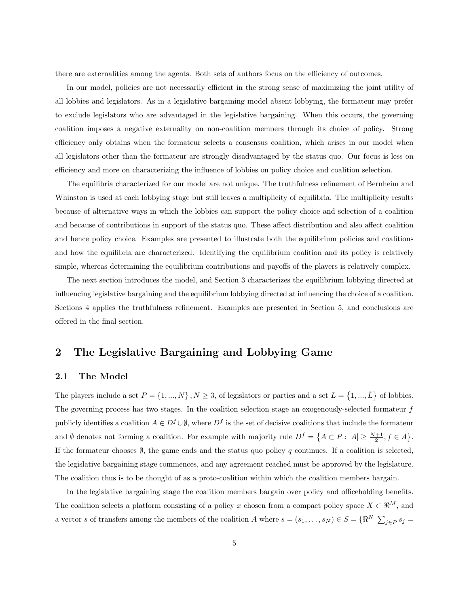there are externalities among the agents. Both sets of authors focus on the efficiency of outcomes.

In our model, policies are not necessarily efficient in the strong sense of maximizing the joint utility of all lobbies and legislators. As in a legislative bargaining model absent lobbying, the formateur may prefer to exclude legislators who are advantaged in the legislative bargaining. When this occurs, the governing coalition imposes a negative externality on non-coalition members through its choice of policy. Strong efficiency only obtains when the formateur selects a consensus coalition, which arises in our model when all legislators other than the formateur are strongly disadvantaged by the status quo. Our focus is less on efficiency and more on characterizing the influence of lobbies on policy choice and coalition selection.

The equilibria characterized for our model are not unique. The truthfulness refinement of Bernheim and Whinston is used at each lobbying stage but still leaves a multiplicity of equilibria. The multiplicity results because of alternative ways in which the lobbies can support the policy choice and selection of a coalition and because of contributions in support of the status quo. These affect distribution and also affect coalition and hence policy choice. Examples are presented to illustrate both the equilibrium policies and coalitions and how the equilibria are characterized. Identifying the equilibrium coalition and its policy is relatively simple, whereas determining the equilibrium contributions and payoffs of the players is relatively complex.

The next section introduces the model, and Section 3 characterizes the equilibrium lobbying directed at influencing legislative bargaining and the equilibrium lobbying directed at influencing the choice of a coalition. Sections 4 applies the truthfulness refinement. Examples are presented in Section 5, and conclusions are offered in the final section.

### 2 The Legislative Bargaining and Lobbying Game

### 2.1 The Model

The players include a set  $P = \{1, ..., N\}, N \ge 3$ , of legislators or parties and a set  $L =$  $\{1, ..., \bar{L}\}\$ of lobbies. The governing process has two stages. In the coalition selection stage an exogenously-selected formateur  $f$ publicly identifies a coalition  $A \in D^f \cup \emptyset$ , where  $D^f$  is the set of decisive coalitions that include the formateur and Ø denotes not forming a coalition. For example with majority rule  $D^f = \{A \subset P : |A| \ge \frac{N+1}{2}, f \in A\}$  $\overline{a}$ . If the formateur chooses  $\emptyset$ , the game ends and the status quo policy q continues. If a coalition is selected. the legislative bargaining stage commences, and any agreement reached must be approved by the legislature. The coalition thus is to be thought of as a proto-coalition within which the coalition members bargain.

In the legislative bargaining stage the coalition members bargain over policy and officeholding benefits. The coalition selects a platform consisting of a policy x chosen from a compact policy space  $X \subset \mathbb{R}^M$ , and a vector s of transfers among the members of the coalition A where  $s = (s_1, \ldots, s_N) \in S = \{ \Re^N | \sum_{i=1}^N S_i \}$  $j \in P$   $s_j =$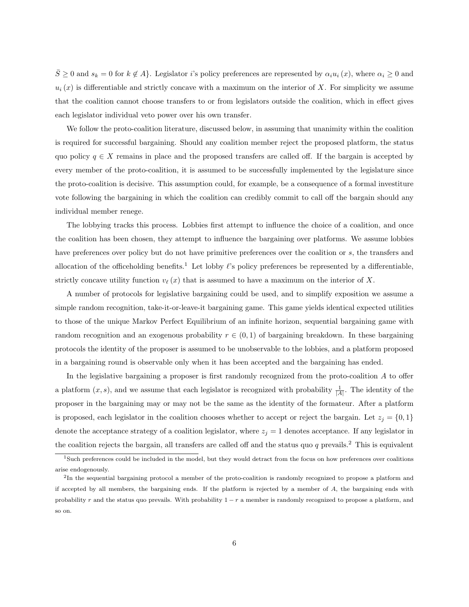$\overline{S} \geq 0$  and  $s_k = 0$  for  $k \notin A$ . Legislator i's policy preferences are represented by  $\alpha_i u_i(x)$ , where  $\alpha_i \geq 0$  and  $u_i(x)$  is differentiable and strictly concave with a maximum on the interior of X. For simplicity we assume that the coalition cannot choose transfers to or from legislators outside the coalition, which in effect gives each legislator individual veto power over his own transfer.

We follow the proto-coalition literature, discussed below, in assuming that unanimity within the coalition is required for successful bargaining. Should any coalition member reject the proposed platform, the status quo policy  $q \in X$  remains in place and the proposed transfers are called off. If the bargain is accepted by every member of the proto-coalition, it is assumed to be successfully implemented by the legislature since the proto-coalition is decisive. This assumption could, for example, be a consequence of a formal investiture vote following the bargaining in which the coalition can credibly commit to call off the bargain should any individual member renege.

The lobbying tracks this process. Lobbies first attempt to influence the choice of a coalition, and once the coalition has been chosen, they attempt to influence the bargaining over platforms. We assume lobbies have preferences over policy but do not have primitive preferences over the coalition or s, the transfers and allocation of the officeholding benefits.<sup>1</sup> Let lobby  $\ell$ 's policy preferences be represented by a differentiable, strictly concave utility function  $v_{\ell}(x)$  that is assumed to have a maximum on the interior of X.

A number of protocols for legislative bargaining could be used, and to simplify exposition we assume a simple random recognition, take-it-or-leave-it bargaining game. This game yields identical expected utilities to those of the unique Markov Perfect Equilibrium of an infinite horizon, sequential bargaining game with random recognition and an exogenous probability  $r \in (0, 1)$  of bargaining breakdown. In these bargaining protocols the identity of the proposer is assumed to be unobservable to the lobbies, and a platform proposed in a bargaining round is observable only when it has been accepted and the bargaining has ended.

In the legislative bargaining a proposer is first randomly recognized from the proto-coalition A to offer a platform  $(x, s)$ , and we assume that each legislator is recognized with probability  $\frac{1}{|A|}$ . The identity of the proposer in the bargaining may or may not be the same as the identity of the formateur. After a platform is proposed, each legislator in the coalition chooses whether to accept or reject the bargain. Let  $z_i = \{0, 1\}$ denote the acceptance strategy of a coalition legislator, where  $z_j = 1$  denotes acceptance. If any legislator in the coalition rejects the bargain, all transfers are called off and the status quo q prevails.<sup>2</sup> This is equivalent

<sup>1</sup>Such preferences could be included in the model, but they would detract from the focus on how preferences over coalitions arise endogenously.

 ${}^{2}$ In the sequential bargaining protocol a member of the proto-coalition is randomly recognized to propose a platform and if accepted by all members, the bargaining ends. If the platform is rejected by a member of A, the bargaining ends with probability r and the status quo prevails. With probability  $1 - r$  a member is randomly recognized to propose a platform, and so on.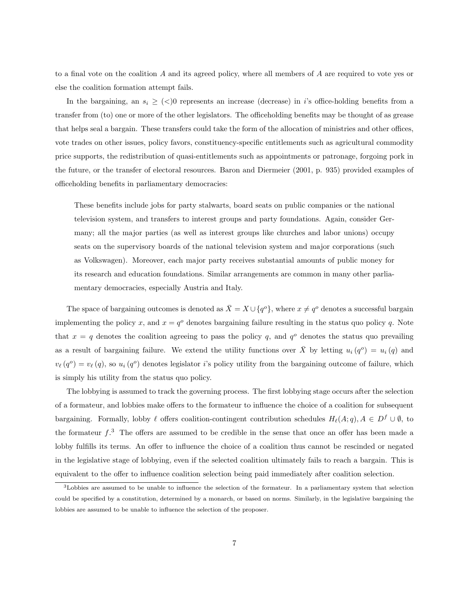to a final vote on the coalition A and its agreed policy, where all members of A are required to vote yes or else the coalition formation attempt fails.

In the bargaining, an  $s_i \geq \langle \langle \rangle$  represents an increase (decrease) in i's office-holding benefits from a transfer from (to) one or more of the other legislators. The officeholding benefits may be thought of as grease that helps seal a bargain. These transfers could take the form of the allocation of ministries and other offices, vote trades on other issues, policy favors, constituency-specific entitlements such as agricultural commodity price supports, the redistribution of quasi-entitlements such as appointments or patronage, forgoing pork in the future, or the transfer of electoral resources. Baron and Diermeier (2001, p. 935) provided examples of officeholding benefits in parliamentary democracies:

These benefits include jobs for party stalwarts, board seats on public companies or the national television system, and transfers to interest groups and party foundations. Again, consider Germany; all the major parties (as well as interest groups like churches and labor unions) occupy seats on the supervisory boards of the national television system and major corporations (such as Volkswagen). Moreover, each major party receives substantial amounts of public money for its research and education foundations. Similar arrangements are common in many other parliamentary democracies, especially Austria and Italy.

The space of bargaining outcomes is denoted as  $\bar{X} = X \cup \{q^o\}$ , where  $x \neq q^o$  denotes a successful bargain implementing the policy x, and  $x = q^{\circ}$  denotes bargaining failure resulting in the status quo policy q. Note that  $x = q$  denotes the coalition agreeing to pass the policy q, and  $q^o$  denotes the status quo prevailing as a result of bargaining failure. We extend the utility functions over  $\overline{X}$  by letting  $u_i(q^o) = u_i(q)$  and  $v_{\ell}(q^o) = v_{\ell}(q)$ , so  $u_i(q^o)$  denotes legislator i's policy utility from the bargaining outcome of failure, which is simply his utility from the status quo policy.

The lobbying is assumed to track the governing process. The first lobbying stage occurs after the selection of a formateur, and lobbies make offers to the formateur to influence the choice of a coalition for subsequent bargaining. Formally, lobby  $\ell$  offers coalition-contingent contribution schedules  $H_{\ell}(A; q), A \in D^f \cup \emptyset$ , to the formateur  $f^3$ . The offers are assumed to be credible in the sense that once an offer has been made a lobby fulfills its terms. An offer to influence the choice of a coalition thus cannot be rescinded or negated in the legislative stage of lobbying, even if the selected coalition ultimately fails to reach a bargain. This is equivalent to the offer to influence coalition selection being paid immediately after coalition selection.

<sup>3</sup>Lobbies are assumed to be unable to influence the selection of the formateur. In a parliamentary system that selection could be specified by a constitution, determined by a monarch, or based on norms. Similarly, in the legislative bargaining the lobbies are assumed to be unable to influence the selection of the proposer.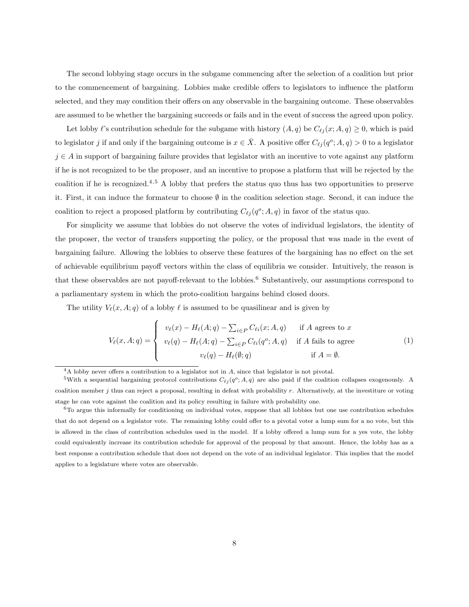The second lobbying stage occurs in the subgame commencing after the selection of a coalition but prior to the commencement of bargaining. Lobbies make credible offers to legislators to influence the platform selected, and they may condition their offers on any observable in the bargaining outcome. These observables are assumed to be whether the bargaining succeeds or fails and in the event of success the agreed upon policy.

Let lobby  $\ell$ 's contribution schedule for the subgame with history  $(A, q)$  be  $C_{\ell j} (x; A, q) \geq 0$ , which is paid to legislator j if and only if the bargaining outcome is  $x \in \overline{X}$ . A positive offer  $C_{\ell j} (q^o; A, q) > 0$  to a legislator  $j \in A$  in support of bargaining failure provides that legislator with an incentive to vote against any platform if he is not recognized to be the proposer, and an incentive to propose a platform that will be rejected by the coalition if he is recognized.<sup>4</sup>,<sup>5</sup> A lobby that prefers the status quo thus has two opportunities to preserve it. First, it can induce the formateur to choose ∅ in the coalition selection stage. Second, it can induce the coalition to reject a proposed platform by contributing  $C_{\ell j} (q^o; A, q)$  in favor of the status quo.

For simplicity we assume that lobbies do not observe the votes of individual legislators, the identity of the proposer, the vector of transfers supporting the policy, or the proposal that was made in the event of bargaining failure. Allowing the lobbies to observe these features of the bargaining has no effect on the set of achievable equilibrium payoff vectors within the class of equilibria we consider. Intuitively, the reason is that these observables are not payoff-relevant to the lobbies.<sup>6</sup> Substantively, our assumptions correspond to a parliamentary system in which the proto-coalition bargains behind closed doors.

The utility  $V_{\ell}(x, A; q)$  of a lobby  $\ell$  is assumed to be quasilinear and is given by

$$
V_{\ell}(x, A; q) = \begin{cases} v_{\ell}(x) - H_{\ell}(A; q) - \sum_{i \in P} C_{\ell i}(x; A, q) & \text{if } A \text{ agrees to } x \\ v_{\ell}(q) - H_{\ell}(A; q) - \sum_{i \in P} C_{\ell i}(q^{o}; A, q) & \text{if } A \text{ fails to agree} \\ v_{\ell}(q) - H_{\ell}(\emptyset; q) & \text{if } A = \emptyset. \end{cases}
$$
(1)

 $4A$  lobby never offers a contribution to a legislator not in  $A$ , since that legislator is not pivotal.

<sup>&</sup>lt;sup>5</sup>With a sequential bargaining protocol contributions  $C_{\ell j} (q^o; A, q)$  are also paid if the coalition collapses exogenously. A coalition member  $j$  thus can reject a proposal, resulting in defeat with probability  $r$ . Alternatively, at the investiture or voting stage he can vote against the coalition and its policy resulting in failure with probability one.

 $6T$ o argue this informally for conditioning on individual votes, suppose that all lobbies but one use contribution schedules that do not depend on a legislator vote. The remaining lobby could offer to a pivotal voter a lump sum for a no vote, but this is allowed in the class of contribution schedules used in the model. If a lobby offered a lump sum for a yes vote, the lobby could equivalently increase its contribution schedule for approval of the proposal by that amount. Hence, the lobby has as a best response a contribution schedule that does not depend on the vote of an individual legislator. This implies that the model applies to a legislature where votes are observable.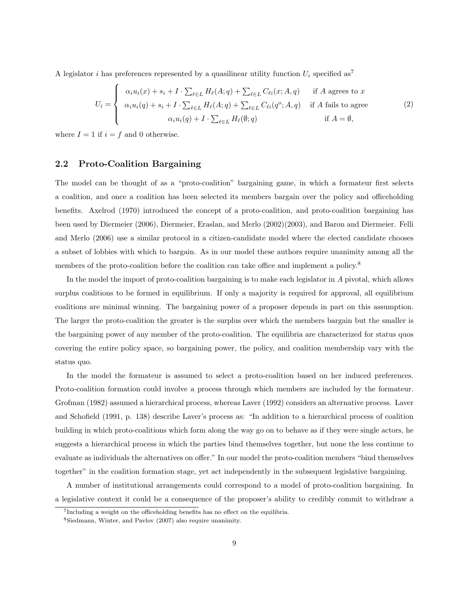A legislator i has preferences represented by a quasilinear utility function  $U_i$  specified as<sup>7</sup>

$$
U_i = \begin{cases} \alpha_i u_i(x) + s_i + I \cdot \sum_{\ell \in L} H_{\ell}(A; q) + \sum_{\ell \in L} C_{\ell i}(x; A, q) & \text{if } A \text{ agrees to } x \\ \alpha_i u_i(q) + s_i + I \cdot \sum_{\ell \in L} H_{\ell}(A; q) + \sum_{\ell \in L} C_{\ell i}(q^c; A, q) & \text{if } A \text{ fails to agree} \\ \alpha_i u_i(q) + I \cdot \sum_{\ell \in L} H_{\ell}(\emptyset; q) & \text{if } A = \emptyset, \end{cases}
$$
 (2)

where  $I = 1$  if  $i = f$  and 0 otherwise.

### 2.2 Proto-Coalition Bargaining

The model can be thought of as a "proto-coalition" bargaining game, in which a formateur first selects a coalition, and once a coalition has been selected its members bargain over the policy and officeholding benefits. Axelrod (1970) introduced the concept of a proto-coalition, and proto-coalition bargaining has been used by Diermeier (2006), Diermeier, Eraslan, and Merlo (2002)(2003), and Baron and Diermeier. Felli and Merlo (2006) use a similar protocol in a citizen-candidate model where the elected candidate chooses a subset of lobbies with which to bargain. As in our model these authors require unanimity among all the members of the proto-coalition before the coalition can take office and implement a policy.<sup>8</sup>

In the model the import of proto-coalition bargaining is to make each legislator in A pivotal, which allows surplus coalitions to be formed in equilibrium. If only a majority is required for approval, all equilibrium coalitions are minimal winning. The bargaining power of a proposer depends in part on this assumption. The larger the proto-coalition the greater is the surplus over which the members bargain but the smaller is the bargaining power of any member of the proto-coalition. The equilibria are characterized for status quos covering the entire policy space, so bargaining power, the policy, and coalition membership vary with the status quo.

In the model the formateur is assumed to select a proto-coalition based on her induced preferences. Proto-coalition formation could involve a process through which members are included by the formateur. Grofman (1982) assumed a hierarchical process, whereas Laver (1992) considers an alternative process. Laver and Schofield (1991, p. 138) describe Laver's process as: "In addition to a hierarchical process of coalition building in which proto-coalitions which form along the way go on to behave as if they were single actors, he suggests a hierarchical process in which the parties bind themselves together, but none the less continue to evaluate as individuals the alternatives on offer." In our model the proto-coalition members "bind themselves together" in the coalition formation stage, yet act independently in the subsequent legislative bargaining.

A number of institutional arrangements could correspond to a model of proto-coalition bargaining. In a legislative context it could be a consequence of the proposer's ability to credibly commit to withdraw a

<sup>7</sup> Including a weight on the officeholding benefits has no effect on the equilibria.

<sup>8</sup>Siedmann, Winter, and Pavlov (2007) also require unanimity.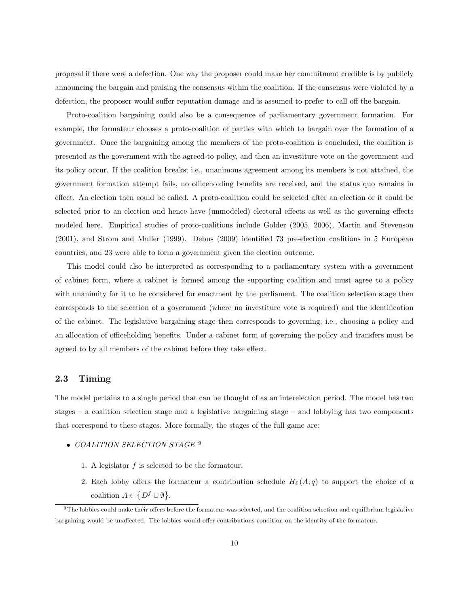proposal if there were a defection. One way the proposer could make her commitment credible is by publicly announcing the bargain and praising the consensus within the coalition. If the consensus were violated by a defection, the proposer would suffer reputation damage and is assumed to prefer to call off the bargain.

Proto-coalition bargaining could also be a consequence of parliamentary government formation. For example, the formateur chooses a proto-coalition of parties with which to bargain over the formation of a government. Once the bargaining among the members of the proto-coalition is concluded, the coalition is presented as the government with the agreed-to policy, and then an investiture vote on the government and its policy occur. If the coalition breaks; i.e., unanimous agreement among its members is not attained, the government formation attempt fails, no officeholding benefits are received, and the status quo remains in effect. An election then could be called. A proto-coalition could be selected after an election or it could be selected prior to an election and hence have (unmodeled) electoral effects as well as the governing effects modeled here. Empirical studies of proto-coalitions include Golder (2005, 2006), Martin and Stevenson (2001), and Strom and Muller (1999). Debus (2009) identified 73 pre-election coalitions in 5 European countries, and 23 were able to form a government given the election outcome.

This model could also be interpreted as corresponding to a parliamentary system with a government of cabinet form, where a cabinet is formed among the supporting coalition and must agree to a policy with unanimity for it to be considered for enactment by the parliament. The coalition selection stage then corresponds to the selection of a government (where no investiture vote is required) and the identification of the cabinet. The legislative bargaining stage then corresponds to governing; i.e., choosing a policy and an allocation of officeholding benefits. Under a cabinet form of governing the policy and transfers must be agreed to by all members of the cabinet before they take effect.

### 2.3 Timing

The model pertains to a single period that can be thought of as an interelection period. The model has two stages – a coalition selection stage and a legislative bargaining stage – and lobbying has two components that correspond to these stages. More formally, the stages of the full game are:

- COALITION SELECTION STAGE<sup>9</sup>
	- 1. A legislator f is selected to be the formateur.
	- 2. Each lobby offers the formateur a contribution schedule  $H_{\ell}(A; q)$  to support the choice of a coalition  $A \in$  $\{D^f \cup \emptyset\}.$

 $9$ The lobbies could make their offers before the formateur was selected, and the coalition selection and equilibrium legislative bargaining would be unaffected. The lobbies would offer contributions condition on the identity of the formateur.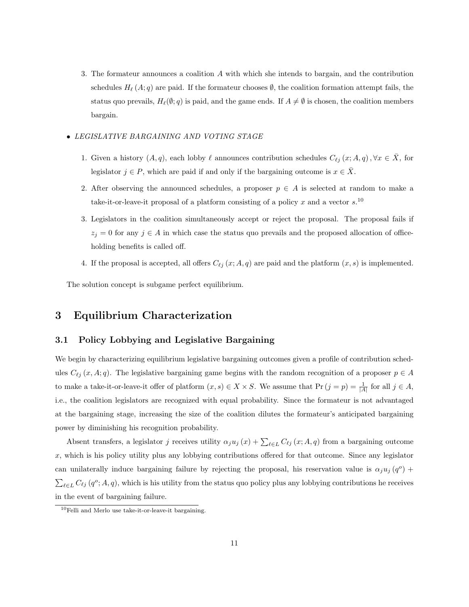- 3. The formateur announces a coalition A with which she intends to bargain, and the contribution schedules  $H_{\ell}(A; q)$  are paid. If the formateur chooses  $\emptyset$ , the coalition formation attempt fails, the status quo prevails,  $H_{\ell}(\emptyset; q)$  is paid, and the game ends. If  $A \neq \emptyset$  is chosen, the coalition members bargain.
- LEGISLATIVE BARGAINING AND VOTING STAGE
	- 1. Given a history  $(A, q)$ , each lobby  $\ell$  announces contribution schedules  $C_{\ell j} (x; A, q)$ ,  $\forall x \in \overline{X}$ , for legislator  $j \in P$ , which are paid if and only if the bargaining outcome is  $x \in \overline{X}$ .
	- 2. After observing the announced schedules, a proposer  $p \in A$  is selected at random to make a take-it-or-leave-it proposal of a platform consisting of a policy x and a vector  $s$ <sup>10</sup>
	- 3. Legislators in the coalition simultaneously accept or reject the proposal. The proposal fails if  $z_j = 0$  for any  $j \in A$  in which case the status quo prevails and the proposed allocation of officeholding benefits is called off.
	- 4. If the proposal is accepted, all offers  $C_{\ell j} (x; A, q)$  are paid and the platform  $(x, s)$  is implemented.

The solution concept is subgame perfect equilibrium.

# 3 Equilibrium Characterization

### 3.1 Policy Lobbying and Legislative Bargaining

We begin by characterizing equilibrium legislative bargaining outcomes given a profile of contribution schedules  $C_{\ell j} (x, A; q)$ . The legislative bargaining game begins with the random recognition of a proposer  $p \in A$ to make a take-it-or-leave-it offer of platform  $(x, s) \in X \times S$ . We assume that  $\Pr(j = p) = \frac{1}{|A|}$  for all  $j \in A$ , i.e., the coalition legislators are recognized with equal probability. Since the formateur is not advantaged at the bargaining stage, increasing the size of the coalition dilutes the formateur's anticipated bargaining power by diminishing his recognition probability.

Absent transfers, a legislator j receives utility  $\alpha_j u_j(x) + \sum_{\ell \in L} C_{\ell j}(x; A, q)$  from a bargaining outcome  $x$ , which is his policy utility plus any lobbying contributions offered for that outcome. Since any legislator can unilaterally induce bargaining failure by rejecting the proposal, his reservation value is  $\alpha_j u_j(q^o)$  +  $\sum_{\ell \in L} C_{\ell j} (q^o; A, q)$ , which is his utility from the status quo policy plus any lobbying contributions he receives in the event of bargaining failure.

 $10$ Felli and Merlo use take-it-or-leave-it bargaining.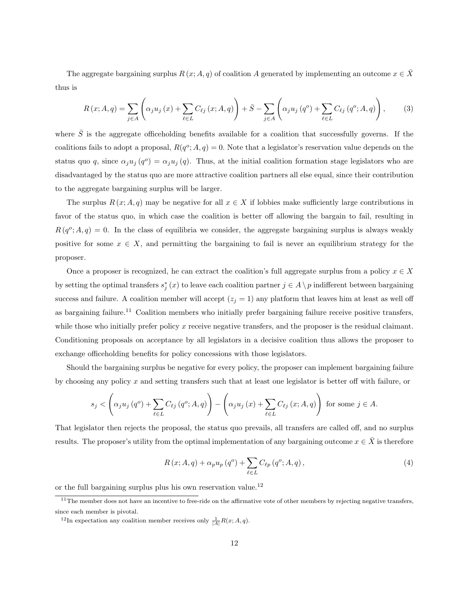The aggregate bargaining surplus  $R(x; A, q)$  of coalition A generated by implementing an outcome  $x \in \overline{X}$ thus is

$$
R(x; A, q) = \sum_{j \in A} \left( \alpha_j u_j(x) + \sum_{\ell \in L} C_{\ell j}(x; A, q) \right) + \bar{S} - \sum_{j \in A} \left( \alpha_j u_j(q^o) + \sum_{\ell \in L} C_{\ell j}(q^o; A, q) \right),
$$
 (3)

where  $\bar{S}$  is the aggregate officeholding benefits available for a coalition that successfully governs. If the coalitions fails to adopt a proposal,  $R(q^o; A, q) = 0$ . Note that a legislator's reservation value depends on the status quo q, since  $\alpha_j u_j(q^o) = \alpha_j u_j(q)$ . Thus, at the initial coalition formation stage legislators who are disadvantaged by the status quo are more attractive coalition partners all else equal, since their contribution to the aggregate bargaining surplus will be larger.

The surplus  $R(x; A, q)$  may be negative for all  $x \in X$  if lobbies make sufficiently large contributions in favor of the status quo, in which case the coalition is better off allowing the bargain to fail, resulting in  $R(q^o; A, q) = 0$ . In the class of equilibria we consider, the aggregate bargaining surplus is always weakly positive for some  $x \in X$ , and permitting the bargaining to fail is never an equilibrium strategy for the proposer.

Once a proposer is recognized, he can extract the coalition's full aggregate surplus from a policy  $x \in X$ by setting the optimal transfers  $s_j^*(x)$  to leave each coalition partner  $j \in A \setminus p$  indifferent between bargaining success and failure. A coalition member will accept  $(z_j = 1)$  any platform that leaves him at least as well off as bargaining failure.<sup>11</sup> Coalition members who initially prefer bargaining failure receive positive transfers, while those who initially prefer policy  $x$  receive negative transfers, and the proposer is the residual claimant. Conditioning proposals on acceptance by all legislators in a decisive coalition thus allows the proposer to exchange officeholding benefits for policy concessions with those legislators.

Should the bargaining surplus be negative for every policy, the proposer can implement bargaining failure by choosing any policy x and setting transfers such that at least one legislator is better off with failure, or

$$
s_{j} < \left(\alpha_{j} u_{j}\left(q^{o}\right) + \sum_{\ell \in L} C_{\ell j}\left(q^{o}; A, q\right)\right) - \left(\alpha_{j} u_{j}\left(x\right) + \sum_{\ell \in L} C_{\ell j}\left(x; A, q\right)\right) \text{ for some } j \in A.
$$

That legislator then rejects the proposal, the status quo prevails, all transfers are called off, and no surplus results. The proposer's utility from the optimal implementation of any bargaining outcome  $x \in \overline{X}$  is therefore

$$
R(x; A, q) + \alpha_p u_p (q^o) + \sum_{\ell \in L} C_{\ell p} (q^o; A, q), \qquad (4)
$$

or the full bargaining surplus plus his own reservation value.<sup>12</sup>

<sup>&</sup>lt;sup>11</sup>The member does not have an incentive to free-ride on the affirmative vote of other members by rejecting negative transfers, since each member is pivotal.

<sup>&</sup>lt;sup>12</sup>In expectation any coalition member receives only  $\frac{1}{|A|}R(x;A,q)$ .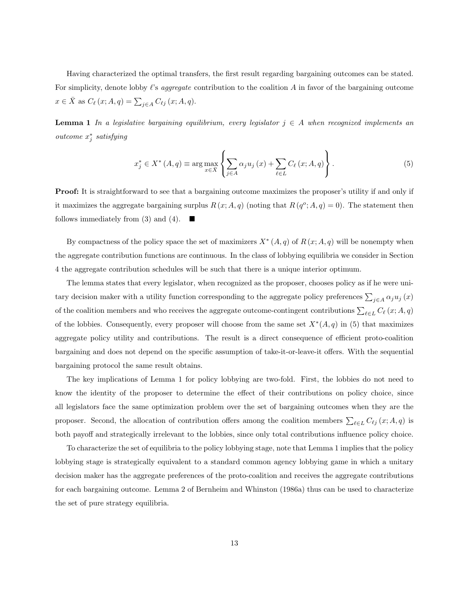Having characterized the optimal transfers, the first result regarding bargaining outcomes can be stated. For simplicity, denote lobby  $\ell$ 's *aggregate* contribution to the coalition A in favor of the bargaining outcome  $x \in \overline{X}$  as  $C_{\ell}(x; A, q) = \sum_{j \in A} C_{\ell j}(x; A, q).$ 

**Lemma 1** In a legislative bargaining equilibrium, every legislator  $j \in A$  when recognized implements an outcome  $x_j^*$  satisfying

$$
x_{j}^{*} \in X^{*} \left( A, q \right) \equiv \arg \max_{x \in \bar{X}} \left\{ \sum_{j \in A} \alpha_{j} u_{j} \left( x \right) + \sum_{\ell \in L} C_{\ell} \left( x; A, q \right) \right\}.
$$
 (5)

Proof: It is straightforward to see that a bargaining outcome maximizes the proposer's utility if and only if it maximizes the aggregate bargaining surplus  $R(x; A, q)$  (noting that  $R(q^o; A, q) = 0$ ). The statement then follows immediately from (3) and (4).

By compactness of the policy space the set of maximizers  $X^*(A,q)$  of  $R(x;A,q)$  will be nonempty when the aggregate contribution functions are continuous. In the class of lobbying equilibria we consider in Section 4 the aggregate contribution schedules will be such that there is a unique interior optimum.

The lemma states that every legislator, when recognized as the proposer, chooses policy as if he were unitary decision maker with a utility function corresponding to the aggregate policy preferences  $\sum_{j\in A}\alpha_j u_j(x)$ of the coalition members and who receives the aggregate outcome-contingent contributions  $\sum_{\ell \in L} C_{\ell}(x; A, q)$ of the lobbies. Consequently, every proposer will choose from the same set  $X^*(A,q)$  in (5) that maximizes aggregate policy utility and contributions. The result is a direct consequence of efficient proto-coalition bargaining and does not depend on the specific assumption of take-it-or-leave-it offers. With the sequential bargaining protocol the same result obtains.

The key implications of Lemma 1 for policy lobbying are two-fold. First, the lobbies do not need to know the identity of the proposer to determine the effect of their contributions on policy choice, since all legislators face the same optimization problem over the set of bargaining outcomes when they are the proposer. Second, the allocation of contribution offers among the coalition members  $\sum_{\ell \in L} C_{\ell j} (x; A, q)$  is both payoff and strategically irrelevant to the lobbies, since only total contributions influence policy choice.

To characterize the set of equilibria to the policy lobbying stage, note that Lemma 1 implies that the policy lobbying stage is strategically equivalent to a standard common agency lobbying game in which a unitary decision maker has the aggregate preferences of the proto-coalition and receives the aggregate contributions for each bargaining outcome. Lemma 2 of Bernheim and Whinston (1986a) thus can be used to characterize the set of pure strategy equilibria.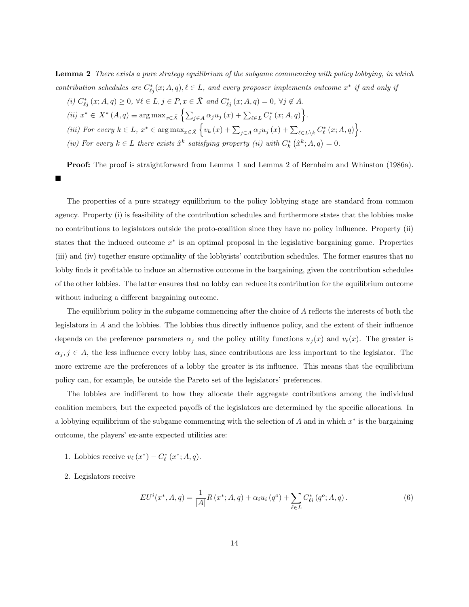Lemma 2 There exists a pure strategy equilibrium of the subgame commencing with policy lobbying, in which contribution schedules are  $C_{\ell j}^*(x; A, q), \ell \in L$ , and every proposer implements outcome  $x^*$  if and only if

\n- (i) 
$$
C_{\ell j}^*(x; A, q) \geq 0
$$
,  $\forall \ell \in L, j \in P, x \in \bar{X}$  and  $C_{\ell j}^*(x; A, q) = 0$ ,  $\forall j \notin A$ .
\n- (ii)  $x^* \in X^*(A, q) \equiv \arg \max_{x \in \bar{X}} \left\{ \sum_{j \in A} \alpha_j u_j(x) + \sum_{\ell \in L} C_{\ell}^*(x; A, q) \right\}.$
\n- (iii) For every  $k \in L$ ,  $x^* \in \arg \max_{x \in \bar{X}} \left\{ v_k(x) + \sum_{j \in A} \alpha_j u_j(x) + \sum_{\ell \in L \setminus k} C_{\ell}^*(x; A, q) \right\}.$
\n- (iv) For every  $k \in L$  there exists  $\hat{x}^k$  satisfying property (ii) with  $C_k^*(\hat{x}^k; A, q) = 0$ .
\n

Proof: The proof is straightforward from Lemma 1 and Lemma 2 of Bernheim and Whinston (1986a). Ξ

The properties of a pure strategy equilibrium to the policy lobbying stage are standard from common agency. Property (i) is feasibility of the contribution schedules and furthermore states that the lobbies make no contributions to legislators outside the proto-coalition since they have no policy influence. Property (ii) states that the induced outcome  $x^*$  is an optimal proposal in the legislative bargaining game. Properties (iii) and (iv) together ensure optimality of the lobbyists' contribution schedules. The former ensures that no lobby finds it profitable to induce an alternative outcome in the bargaining, given the contribution schedules of the other lobbies. The latter ensures that no lobby can reduce its contribution for the equilibrium outcome without inducing a different bargaining outcome.

The equilibrium policy in the subgame commencing after the choice of A reflects the interests of both the legislators in A and the lobbies. The lobbies thus directly influence policy, and the extent of their influence depends on the preference parameters  $\alpha_j$  and the policy utility functions  $u_j(x)$  and  $v_\ell(x)$ . The greater is  $\alpha_j, j \in A$ , the less influence every lobby has, since contributions are less important to the legislator. The more extreme are the preferences of a lobby the greater is its influence. This means that the equilibrium policy can, for example, be outside the Pareto set of the legislators' preferences.

The lobbies are indifferent to how they allocate their aggregate contributions among the individual coalition members, but the expected payoffs of the legislators are determined by the specific allocations. In a lobbying equilibrium of the subgame commencing with the selection of  $A$  and in which  $x^*$  is the bargaining outcome, the players' ex-ante expected utilities are:

- 1. Lobbies receive  $v_{\ell}(x^*) C_{\ell}^*(x^*; A, q)$ .
- 2. Legislators receive

$$
EU^{i}(x^{*}, A, q) = \frac{1}{|A|} R(x^{*}; A, q) + \alpha_{i} u_{i} (q^{o}) + \sum_{\ell \in L} C_{\ell i}^{*} (q^{o}; A, q).
$$
 (6)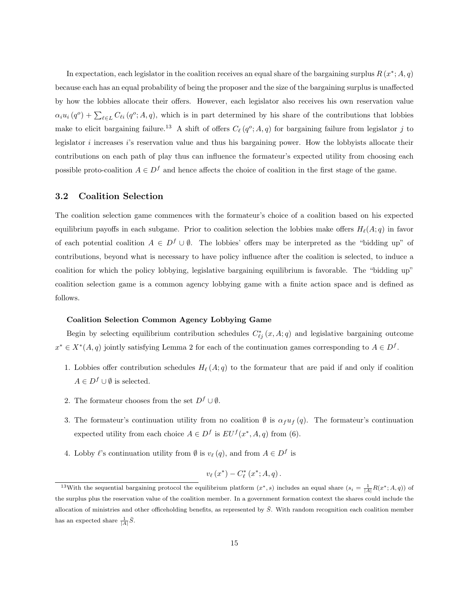In expectation, each legislator in the coalition receives an equal share of the bargaining surplus  $R(x^*; A, q)$ because each has an equal probability of being the proposer and the size of the bargaining surplus is unaffected by how the lobbies allocate their offers. However, each legislator also receives his own reservation value  $\alpha_i u_i (q^o) + \sum_{\ell \in L} C_{\ell i} (q^o; A, q)$ , which is in part determined by his share of the contributions that lobbies make to elicit bargaining failure.<sup>13</sup> A shift of offers  $C_{\ell}(q^o; A, q)$  for bargaining failure from legislator j to legislator i increases i's reservation value and thus his bargaining power. How the lobbyists allocate their contributions on each path of play thus can influence the formateur's expected utility from choosing each possible proto-coalition  $A \in D^f$  and hence affects the choice of coalition in the first stage of the game.

### 3.2 Coalition Selection

The coalition selection game commences with the formateur's choice of a coalition based on his expected equilibrium payoffs in each subgame. Prior to coalition selection the lobbies make offers  $H_{\ell}(A; q)$  in favor of each potential coalition  $A \in D^f \cup \emptyset$ . The lobbies' offers may be interpreted as the "bidding up" of contributions, beyond what is necessary to have policy influence after the coalition is selected, to induce a coalition for which the policy lobbying, legislative bargaining equilibrium is favorable. The "bidding up" coalition selection game is a common agency lobbying game with a finite action space and is defined as follows.

#### Coalition Selection Common Agency Lobbying Game

Begin by selecting equilibrium contribution schedules  $C_{\ell j}^*(x, A; q)$  and legislative bargaining outcome  $x^* \in X^*(A, q)$  jointly satisfying Lemma 2 for each of the continuation games corresponding to  $A \in D^f$ .

- 1. Lobbies offer contribution schedules  $H_{\ell}(A;q)$  to the formateur that are paid if and only if coalition  $A \in D^f \cup \emptyset$  is selected.
- 2. The formateur chooses from the set  $D^f \cup \emptyset$ .
- 3. The formateur's continuation utility from no coalition  $\emptyset$  is  $\alpha_f u_f(q)$ . The formateur's continuation expected utility from each choice  $A \in D^f$  is  $EU^f(x^*, A, q)$  from (6).
- 4. Lobby  $\ell$ 's continuation utility from  $\emptyset$  is  $v_{\ell}(q)$ , and from  $A \in D^f$  is

$$
v_{\ell}(x^*)-C_{\ell}^*(x^*;A,q).
$$

<sup>&</sup>lt;sup>13</sup>With the sequential bargaining protocol the equilibrium platform  $(x^*, s)$  includes an equal share  $(s_i = \frac{1}{|A|}R(x^*; A, q))$  of the surplus plus the reservation value of the coalition member. In a government formation context the shares could include the allocation of ministries and other officeholding benefits, as represented by  $\bar{S}$ . With random recognition each coalition member has an expected share  $\frac{1}{|A|}\bar{S}$ .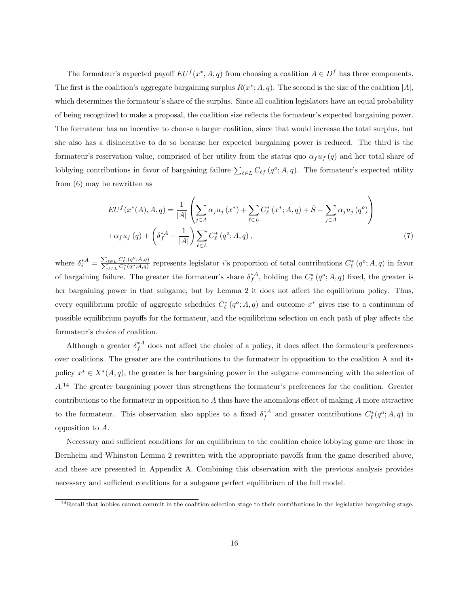The formateur's expected payoff  $EU^f(x^*, A, q)$  from choosing a coalition  $A \in D^f$  has three components. The first is the coalition's aggregate bargaining surplus  $R(x^*,A,q)$ . The second is the size of the coalition |A|, which determines the formateur's share of the surplus. Since all coalition legislators have an equal probability of being recognized to make a proposal, the coalition size reflects the formateur's expected bargaining power. The formateur has an incentive to choose a larger coalition, since that would increase the total surplus, but she also has a disincentive to do so because her expected bargaining power is reduced. The third is the formateur's reservation value, comprised of her utility from the status quo  $\alpha_f u_f(q)$  and her total share of lobbying contributions in favor of bargaining failure  $\sum_{\ell \in L} C_{\ell f} (q^o; A, q)$ . The formateur's expected utility from (6) may be rewritten as

$$
EU^f(x^*(A), A, q) = \frac{1}{|A|} \left( \sum_{j \in A} \alpha_j u_j(x^*) + \sum_{\ell \in L} C_{\ell}^*(x^*; A, q) + \bar{S} - \sum_{j \in A} \alpha_j u_j(q^o) \right)
$$
  
 
$$
+ \alpha_f u_f(q) + \left( \delta_f^{*A} - \frac{1}{|A|} \right) \sum_{\ell \in L} C_{\ell}^*(q^o; A, q), \tag{7}
$$

where  $\delta_i^{*A} = \frac{\sum_{\ell \in L} C_{\ell i}^* (q^o; A, q)}{\sum_{\ell \in L} C_{\ell}^* (q^o; A, q)}$  represents legislator *i*'s proportion of total contributions  $C_{\ell}^* (q^o; A, q)$  in favor of bargaining failure. The greater the formateur's share  $\delta_f^{*A}$ , holding the  $C_{\ell}^*(q^o; A, q)$  fixed, the greater is her bargaining power in that subgame, but by Lemma 2 it does not affect the equilibrium policy. Thus, every equilibrium profile of aggregate schedules  $C_{\ell}^*(q^o; A, q)$  and outcome  $x^*$  gives rise to a continuum of possible equilibrium payoffs for the formateur, and the equilibrium selection on each path of play affects the formateur's choice of coalition.

Although a greater  $\delta_f^{*A}$  does not affect the choice of a policy, it does affect the formateur's preferences over coalitions. The greater are the contributions to the formateur in opposition to the coalition A and its policy  $x^* \in X^*(A, q)$ , the greater is her bargaining power in the subgame commencing with the selection of  $A<sup>14</sup>$  The greater bargaining power thus strengthens the formateur's preferences for the coalition. Greater contributions to the formateur in opposition to  $A$  thus have the anomalous effect of making  $A$  more attractive to the formateur. This observation also applies to a fixed  $\delta_f^{*A}$  and greater contributions  $C_{\ell}^*(q^o;A,q)$  in opposition to A.

Necessary and sufficient conditions for an equilibrium to the coalition choice lobbying game are those in Bernheim and Whinston Lemma 2 rewritten with the appropriate payoffs from the game described above, and these are presented in Appendix A. Combining this observation with the previous analysis provides necessary and sufficient conditions for a subgame perfect equilibrium of the full model.

 $14$ Recall that lobbies cannot commit in the coalition selection stage to their contributions in the legislative bargaining stage.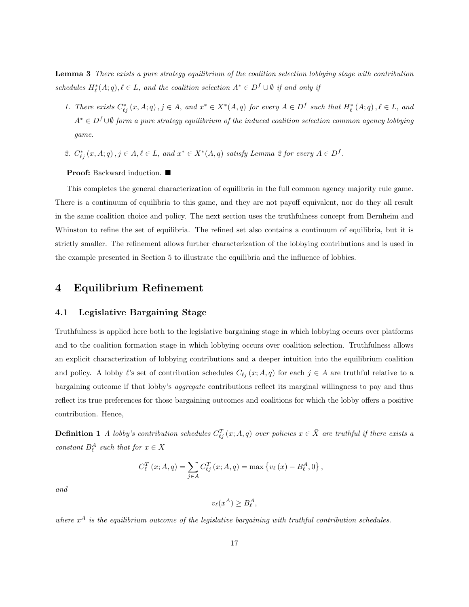Lemma 3 There exists a pure strategy equilibrium of the coalition selection lobbying stage with contribution schedules  $H_{\ell}^{*}(A;q), \ell \in L$ , and the coalition selection  $A^{*} \in D^{f} \cup \emptyset$  if and only if

- 1. There exists  $C_{\ell j}^*(x, A; q), j \in A$ , and  $x^* \in X^*(A, q)$  for every  $A \in D^f$  such that  $H_{\ell}^*(A; q), \ell \in L$ , and  $A^* \in D^f \cup \emptyset$  form a pure strategy equilibrium of the induced coalition selection common agency lobbying game.
- 2.  $C_{\ell j}^*(x, A; q), j \in A, \ell \in L$ , and  $x^* \in X^*(A, q)$  satisfy Lemma 2 for every  $A \in D^f$ .

Proof: Backward induction. ■

This completes the general characterization of equilibria in the full common agency majority rule game. There is a continuum of equilibria to this game, and they are not payoff equivalent, nor do they all result in the same coalition choice and policy. The next section uses the truthfulness concept from Bernheim and Whinston to refine the set of equilibria. The refined set also contains a continuum of equilibria, but it is strictly smaller. The refinement allows further characterization of the lobbying contributions and is used in the example presented in Section 5 to illustrate the equilibria and the influence of lobbies.

## 4 Equilibrium Refinement

### 4.1 Legislative Bargaining Stage

Truthfulness is applied here both to the legislative bargaining stage in which lobbying occurs over platforms and to the coalition formation stage in which lobbying occurs over coalition selection. Truthfulness allows an explicit characterization of lobbying contributions and a deeper intuition into the equilibrium coalition and policy. A lobby  $\ell$ 's set of contribution schedules  $C_{\ell j} (x; A, q)$  for each  $j \in A$  are truthful relative to a bargaining outcome if that lobby's aggregate contributions reflect its marginal willingness to pay and thus reflect its true preferences for those bargaining outcomes and coalitions for which the lobby offers a positive contribution. Hence,

**Definition 1** A lobby's contribution schedules  $C_{\ell j}^T(x; A, q)$  over policies  $x \in \overline{X}$  are truthful if there exists a constant  $B_{\ell}^A$  such that for  $x \in X$ 

$$
C_{\ell}^{T}(x; A, q) = \sum_{j \in A} C_{\ell j}^{T}(x; A, q) = \max \{ v_{\ell}(x) - B_{\ell}^{A}, 0 \},
$$

and

$$
v_{\ell}(x^A) \ge B_{\ell}^A,
$$

where  $x^A$  is the equilibrium outcome of the legislative bargaining with truthful contribution schedules.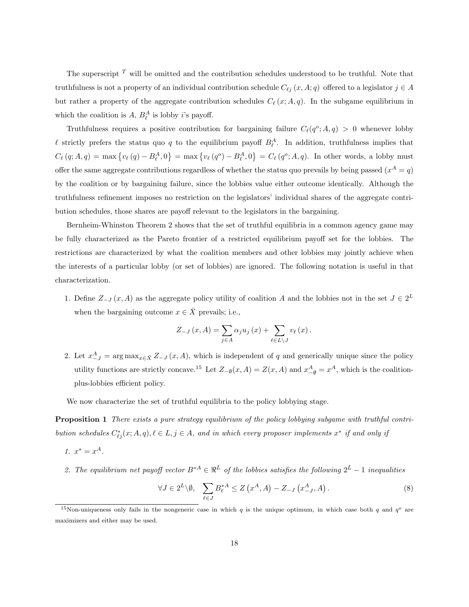The superscript  $T$  will be omitted and the contribution schedules understood to be truthful. Note that truthfulness is not a property of an individual contribution schedule  $C_{\ell j} (x, A; q)$  offered to a legislator  $j \in A$ but rather a property of the aggregate contribution schedules  $C_{\ell}(x; A, q)$ . In the subgame equilibrium in which the coalition is  $A, B_{\ell}^A$  is lobby *i*'s payoff.

Truthfulness requires a positive contribution for bargaining failure  $C_{\ell}(q^{\circ};A,q) > 0$  whenever lobby  $\ell$  strictly prefers the status quo q to the equilibrium payoff  $B_{\ell}^{A}$ . In addition, truthfulness implies that  $C_{\ell} (q; A, q) = \max \left\{ v_{\ell} (q) - B_{\ell}^{A}, 0 \right\}$  $\} = \max \{ v_{\ell} (q^o) - B_{\ell}^A, 0 \}$  $\overline{a}$  $=C_{\ell}(q^o; A, q)$ . In other words, a lobby must offer the same aggregate contributions regardless of whether the status quo prevails by being passed  $(x^A = q)$ by the coalition or by bargaining failure, since the lobbies value either outcome identically. Although the truthfulness refinement imposes no restriction on the legislators' individual shares of the aggregate contribution schedules, those shares are payoff relevant to the legislators in the bargaining.

Bernheim-Whinston Theorem 2 shows that the set of truthful equilibria in a common agency game may be fully characterized as the Pareto frontier of a restricted equilibrium payoff set for the lobbies. The restrictions are characterized by what the coalition members and other lobbies may jointly achieve when the interests of a particular lobby (or set of lobbies) are ignored. The following notation is useful in that characterization.

1. Define  $Z_{-J}(x, A)$  as the aggregate policy utility of coalition A and the lobbies not in the set  $J \in 2^L$ when the bargaining outcome  $x \in \overline{X}$  prevails; i.e.,

$$
Z_{-J}(x, A) = \sum_{j \in A} \alpha_j u_j(x) + \sum_{\ell \in L \setminus J} v_\ell(x).
$$

2. Let  $x_{-J}^A = \arg \max_{x \in \bar{X}} Z_{-J}(x, A)$ , which is independent of q and generically unique since the policy utility functions are strictly concave.<sup>15</sup> Let  $Z_{-\emptyset}(x, A) = Z(x, A)$  and  $x_{-\emptyset}^A = x^A$ , which is the coalitionplus-lobbies efficient policy.

We now characterize the set of truthful equilibria to the policy lobbying stage.

Proposition 1 There exists a pure strategy equilibrium of the policy lobbying subgame with truthful contribution schedules  $C_{\ell j}^*(x; A, q), \ell \in L, j \in A$ , and in which every proposer implements  $x^*$  if and only if

$$
1. \, x^* = x^A.
$$

2. The equilibrium net payoff vector  $B^{*A} \in \mathbb{R}^{\bar{L}}$  of the lobbies satisfies the following  $2^{\bar{L}} - 1$  inequalities

$$
\forall J \in 2^L \setminus \emptyset, \quad \sum_{\ell \in J} B_{\ell}^{*A} \le Z\left(x^A, A\right) - Z_{-J}\left(x^A_{-J}, A\right). \tag{8}
$$

<sup>&</sup>lt;sup>15</sup>Non-uniqueness only fails in the nongeneric case in which q is the unique optimum, in which case both q and  $q^o$  are maximizers and either may be used.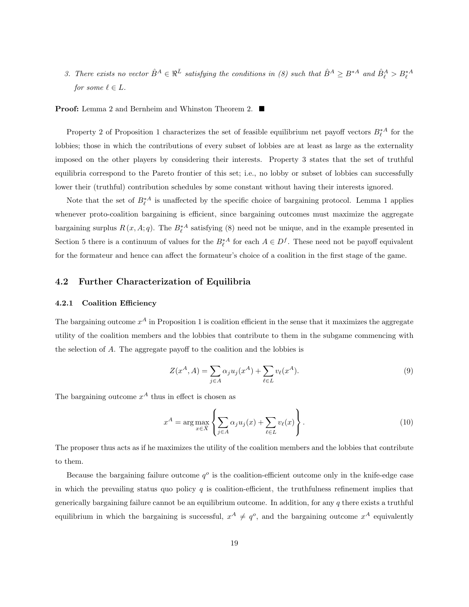3. There exists no vector  $\hat{B}^A \in \mathbb{R}^{\bar{L}}$  satisfying the conditions in (8) such that  $\hat{B}^A \geq B^{*A}$  and  $\hat{B}^A_{\ell} > B^{*A}_{\ell}$ for some  $\ell \in L$ .

**Proof:** Lemma 2 and Bernheim and Whinston Theorem 2. ■

Property 2 of Proposition 1 characterizes the set of feasible equilibrium net payoff vectors  $B_{\ell}^{*A}$  for the lobbies; those in which the contributions of every subset of lobbies are at least as large as the externality imposed on the other players by considering their interests. Property 3 states that the set of truthful equilibria correspond to the Pareto frontier of this set; i.e., no lobby or subset of lobbies can successfully lower their (truthful) contribution schedules by some constant without having their interests ignored.

Note that the set of  $B_{\ell}^{*A}$  is unaffected by the specific choice of bargaining protocol. Lemma 1 applies whenever proto-coalition bargaining is efficient, since bargaining outcomes must maximize the aggregate bargaining surplus  $R(x, A; q)$ . The  $B_{\ell}^{*A}$  satisfying (8) need not be unique, and in the example presented in Section 5 there is a continuum of values for the  $B_{\ell}^{*A}$  for each  $A \in D^{f}$ . These need not be payoff equivalent for the formateur and hence can affect the formateur's choice of a coalition in the first stage of the game.

### 4.2 Further Characterization of Equilibria

#### 4.2.1 Coalition Efficiency

The bargaining outcome  $x^A$  in Proposition 1 is coalition efficient in the sense that it maximizes the aggregate utility of the coalition members and the lobbies that contribute to them in the subgame commencing with the selection of A. The aggregate payoff to the coalition and the lobbies is

$$
Z(x^{A}, A) = \sum_{j \in A} \alpha_{j} u_{j}(x^{A}) + \sum_{\ell \in L} v_{\ell}(x^{A}).
$$
\n(9)

The bargaining outcome  $x^A$  thus in effect is chosen as

$$
x^{A} = \arg \max_{x \in \bar{X}} \left\{ \sum_{j \in A} \alpha_{j} u_{j}(x) + \sum_{\ell \in L} v_{\ell}(x) \right\}.
$$
 (10)

The proposer thus acts as if he maximizes the utility of the coalition members and the lobbies that contribute to them.

Because the bargaining failure outcome  $q^o$  is the coalition-efficient outcome only in the knife-edge case in which the prevailing status quo policy  $q$  is coalition-efficient, the truthfulness refinement implies that generically bargaining failure cannot be an equilibrium outcome. In addition, for any  $q$  there exists a truthful equilibrium in which the bargaining is successful,  $x^A \neq q^o$ , and the bargaining outcome  $x^A$  equivalently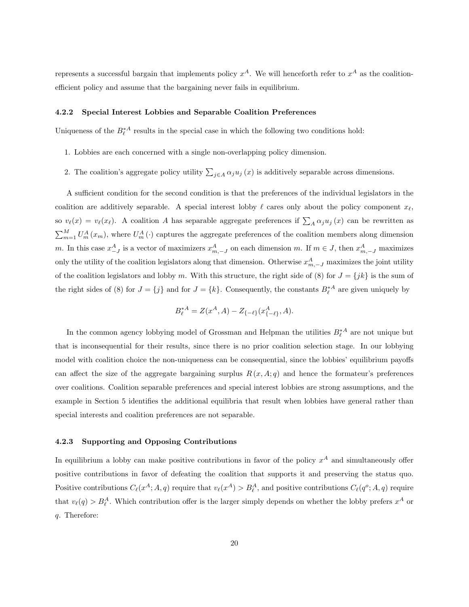represents a successful bargain that implements policy  $x^A$ . We will henceforth refer to  $x^A$  as the coalitionefficient policy and assume that the bargaining never fails in equilibrium.

#### 4.2.2 Special Interest Lobbies and Separable Coalition Preferences

Uniqueness of the  $B_{\ell}^{*A}$  results in the special case in which the following two conditions hold:

- 1. Lobbies are each concerned with a single non-overlapping policy dimension.
- 2. The coalition's aggregate policy utility  $\sum_{j\in A} \alpha_j u_j(x)$  is additively separable across dimensions.

A sufficient condition for the second condition is that the preferences of the individual legislators in the coalition are additively separable. A special interest lobby  $\ell$  cares only about the policy component  $x_{\ell}$ , so  $v_{\ell}(x) = v_{\ell}(x_{\ell})$ . A coalition A has separable aggregate preferences if  $\sum_{A} \alpha_j u_j(x)$  can be rewritten as  $\sum_{m=1}^{M} U_m^A(x_m)$ , where  $U_m^A(\cdot)$  captures the aggregate preferences of the coalition members along dimension m. In this case  $x_{-J}^A$  is a vector of maximizers  $x_{m,-J}^A$  on each dimension m. If  $m \in J$ , then  $x_{m,-J}^A$  maximizes only the utility of the coalition legislators along that dimension. Otherwise  $x_{m,-J}^A$  maximizes the joint utility of the coalition legislators and lobby m. With this structure, the right side of (8) for  $J = \{jk\}$  is the sum of the right sides of (8) for  $J = \{j\}$  and for  $J = \{k\}$ . Consequently, the constants  $B_{\ell}^{*A}$  are given uniquely by

$$
B_{\ell}^{*A} = Z(x^{A}, A) - Z_{\{-\ell\}}(x_{\{-\ell\}}^{A}, A).
$$

In the common agency lobbying model of Grossman and Helpman the utilities  $B_{\ell}^{*A}$  are not unique but that is inconsequential for their results, since there is no prior coalition selection stage. In our lobbying model with coalition choice the non-uniqueness can be consequential, since the lobbies' equilibrium payoffs can affect the size of the aggregate bargaining surplus  $R(x, A; q)$  and hence the formateur's preferences over coalitions. Coalition separable preferences and special interest lobbies are strong assumptions, and the example in Section 5 identifies the additional equilibria that result when lobbies have general rather than special interests and coalition preferences are not separable.

#### 4.2.3 Supporting and Opposing Contributions

In equilibrium a lobby can make positive contributions in favor of the policy  $x^A$  and simultaneously offer positive contributions in favor of defeating the coalition that supports it and preserving the status quo. Positive contributions  $C_{\ell}(x^A; A, q)$  require that  $v_{\ell}(x^A) > B_{\ell}^A$ , and positive contributions  $C_{\ell}(q^o; A, q)$  require that  $v_{\ell}(q) > B_{\ell}^{A}$ . Which contribution offer is the larger simply depends on whether the lobby prefers  $x^{A}$  or q. Therefore: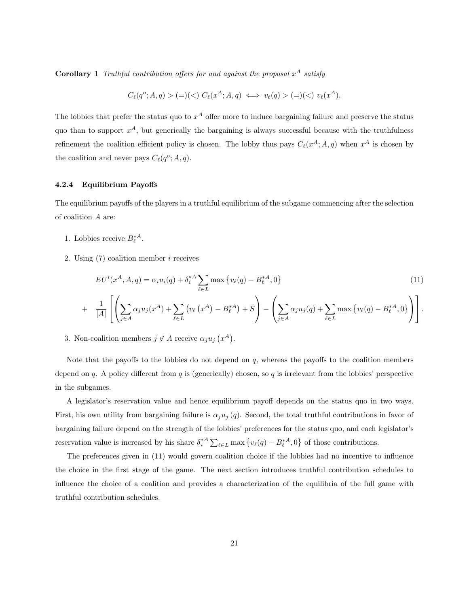**Corollary 1** Truthful contribution offers for and against the proposal  $x^A$  satisfy

$$
C_{\ell}(q^{o}; A, q) > (=)(<) C_{\ell}(x^{A}; A, q) \iff v_{\ell}(q) > (=)(<) v_{\ell}(x^{A}).
$$

The lobbies that prefer the status quo to  $x^A$  offer more to induce bargaining failure and preserve the status quo than to support  $x^A$ , but generically the bargaining is always successful because with the truthfulness refinement the coalition efficient policy is chosen. The lobby thus pays  $C_{\ell}(x^A; A, q)$  when  $x^A$  is chosen by the coalition and never pays  $C_{\ell}(q^o; A, q)$ .

#### 4.2.4 Equilibrium Payoffs

The equilibrium payoffs of the players in a truthful equilibrium of the subgame commencing after the selection of coalition A are:

- 1. Lobbies receive  $B_{\ell}^{*A}$ .
- 2. Using (7) coalition member i receives

$$
EU^{i}(x^{A}, A, q) = \alpha_{i} u_{i}(q) + \delta_{i}^{*A} \sum_{\ell \in L} \max \{v_{\ell}(q) - B_{\ell}^{*A}, 0\}
$$
\n(11)

$$
+ \frac{1}{|A|} \left[ \left( \sum_{j \in A} \alpha_j u_j(x^A) + \sum_{\ell \in L} \left( v_\ell(x^A) - B_\ell^{*A} \right) + \bar{S} \right) - \left( \sum_{j \in A} \alpha_j u_j(q) + \sum_{\ell \in L} \max \left\{ v_\ell(q) - B_\ell^{*A}, 0 \right\} \right) \right].
$$

3. Non-coalition members  $j \notin A$  receive  $\alpha_j u_j$  $\overline{a}$  $x^A$ .

Note that the payoffs to the lobbies do not depend on  $q$ , whereas the payoffs to the coalition members depend on q. A policy different from q is (generically) chosen, so q is irrelevant from the lobbies' perspective in the subgames.

A legislator's reservation value and hence equilibrium payoff depends on the status quo in two ways. First, his own utility from bargaining failure is  $\alpha_j u_j(q)$ . Second, the total truthful contributions in favor of bargaining failure depend on the strength of the lobbies' preferences for the status quo, and each legislator's reservation value is increased by his share  $\delta_i^*$ <sup>4</sup>  $\sum_{\ell \in L} \max \left\{ v_{\ell}(q) - B^{*A}_{\ell}, 0 \right\}$  $\overline{a}$ of those contributions.

The preferences given in (11) would govern coalition choice if the lobbies had no incentive to influence the choice in the first stage of the game. The next section introduces truthful contribution schedules to influence the choice of a coalition and provides a characterization of the equilibria of the full game with truthful contribution schedules.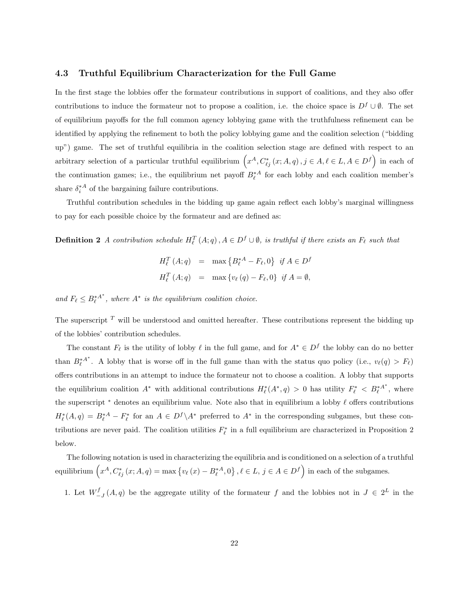### 4.3 Truthful Equilibrium Characterization for the Full Game

In the first stage the lobbies offer the formateur contributions in support of coalitions, and they also offer contributions to induce the formateur not to propose a coalition, i.e. the choice space is  $D<sup>f</sup> \cup \emptyset$ . The set of equilibrium payoffs for the full common agency lobbying game with the truthfulness refinement can be identified by applying the refinement to both the policy lobbying game and the coalition selection ("bidding up") game. The set of truthful equilibria in the coalition selection stage are defined with respect to an arbitrary selection of a particular truthful equilibrium  $(x^A, C^*_{\ell j}(x; A, q), j \in A, \ell \in L, A \in D^f$  in each of the continuation games; i.e., the equilibrium net payoff  $B_{\ell}^{*A}$  for each lobby and each coalition member's share  $\delta_i^*$  of the bargaining failure contributions.

Truthful contribution schedules in the bidding up game again reflect each lobby's marginal willingness to pay for each possible choice by the formateur and are defined as:

**Definition 2** A contribution schedule  $H_{\ell}^T(A; q), A \in D^f \cup \emptyset$ , is truthful if there exists an  $F_{\ell}$  such that

$$
H_{\ell}^{T}(A;q) = \max \{ B_{\ell}^{*A} - F_{\ell}, 0 \} \text{ if } A \in D^{f}
$$
  

$$
H_{\ell}^{T}(A;q) = \max \{ v_{\ell}(q) - F_{\ell}, 0 \} \text{ if } A = \emptyset,
$$

and  $F_{\ell} \leq B_{\ell}^{*A^{*}}$ , where  $A^{*}$  is the equilibrium coalition choice.

The superscript  $T$  will be understood and omitted hereafter. These contributions represent the bidding up of the lobbies' contribution schedules.

The constant  $F_\ell$  is the utility of lobby  $\ell$  in the full game, and for  $A^* \in D^f$  the lobby can do no better than  $B_{\ell}^{*A^{*}}$ . A lobby that is worse off in the full game than with the status quo policy (i.e.,  $v_{\ell}(q) > F_{\ell}$ ) offers contributions in an attempt to induce the formateur not to choose a coalition. A lobby that supports the equilibrium coalition  $A^*$  with additional contributions  $H^*_{\ell}(A^*,q) > 0$  has utility  $F^*_{\ell} < B^{*A^*}_{\ell}$ , where the superscript  $*$  denotes an equilibrium value. Note also that in equilibrium a lobby  $\ell$  offers contributions  $H^*_\ell(A,q) = B^{*A}_\ell - F^*_\ell$  for an  $A \in D^f \backslash A^*$  preferred to  $A^*$  in the corresponding subgames, but these contributions are never paid. The coalition utilities  $F_{\ell}^*$  in a full equilibrium are characterized in Proposition 2 below.

The following notation is used in characterizing the equilibria and is conditioned on a selection of a truthful equilibrium  $\left(x^A, C^*_{\ell j}(x; A, q) = \max\left\{v_\ell(x) - B^{*A}_\ell, 0\right\}\right)$  $\}$ ,  $\ell \in L$ ,  $j \in A \in D^f$  $\frac{1}{\sqrt{2}}$ in each of the subgames.

1. Let  $W_{-J}^f(A,q)$  be the aggregate utility of the formateur f and the lobbies not in  $J \in 2^L$  in the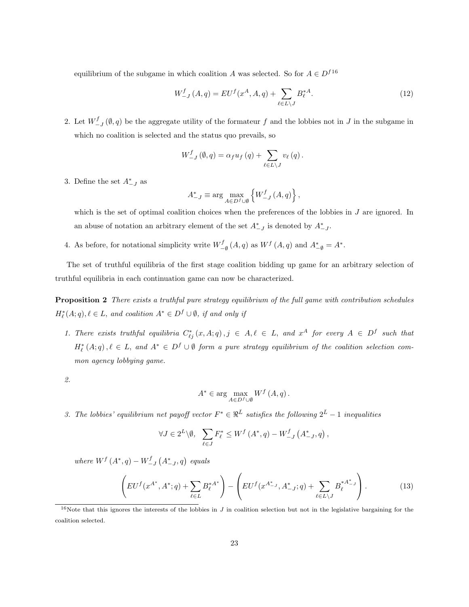equilibrium of the subgame in which coalition A was selected. So for  $A \in D^{f16}$ 

$$
W_{-J}^{f}(A,q) = EU^{f}(x^{A}, A,q) + \sum_{\ell \in L \backslash J} B_{\ell}^{*A}.
$$
 (12)

2. Let  $W_{-J}^f(\emptyset, q)$  be the aggregate utility of the formateur f and the lobbies not in J in the subgame in which no coalition is selected and the status quo prevails, so

$$
W_{-J}^{f}(\emptyset, q) = \alpha_{f} u_{f}(q) + \sum_{\ell \in L \setminus J} v_{\ell}(q).
$$

3. Define the set  $A_{-J}^*$  as

$$
A_{-J}^{*} \equiv \arg \max_{A \in D^{f} \cup \emptyset} \left\{ W_{-J}^{f}\left(A, q\right)\right\},\,
$$

which is the set of optimal coalition choices when the preferences of the lobbies in J are ignored. In an abuse of notation an arbitrary element of the set  $A_{-J}^*$  is denoted by  $A_{-J}^*$ .

4. As before, for notational simplicity write  $W_{-\emptyset}^f(A,q)$  as  $W^f(A,q)$  and  $A_{-\emptyset}^* = A^*$ .

The set of truthful equilibria of the first stage coalition bidding up game for an arbitrary selection of truthful equilibria in each continuation game can now be characterized.

Proposition 2 There exists a truthful pure strategy equilibrium of the full game with contribution schedules  $H_{\ell}^{*}(A;q), \ell \in L$ , and coalition  $A^{*} \in D^{f} \cup \emptyset$ , if and only if

1. There exists truthful equilibria  $C_{\ell j}^*(x, A; q), j \in A, \ell \in L$ , and  $x^A$  for every  $A \in D^f$  such that  $H_{\ell}^{*}(A;q), \ell \in L$ , and  $A^{*} \in D^{f} \cup \emptyset$  form a pure strategy equilibrium of the coalition selection common agency lobbying game.

2.

$$
A^* \in \arg\max_{A \in D^f \cup \emptyset} W^f(A, q).
$$

3. The lobbies' equilibrium net payoff vector  $F^* \in \Re^{\bar{L}}$  satisfies the following  $2^{\bar{L}} - 1$  inequalities

$$
\forall J \in 2^L \setminus \emptyset, \quad \sum_{\ell \in J} F_{\ell}^* \le W^f \left( A^*, q \right) - W^f_{-J} \left( A^*_{-J}, q \right),
$$

where  $W^f(A^*,q) - W^f_{-J}$  $(A^*_{-J}, q)$  equals

$$
\left( EU^f(x^{A^*}, A^*; q) + \sum_{\ell \in L} B_{\ell}^{*A^*} \right) - \left( EU^f(x^{A^*_{-J}}, A^*_{-J}; q) + \sum_{\ell \in L \setminus J} B_{\ell}^{*A^*_{-J}} \right). \tag{13}
$$

<sup>16</sup>Note that this ignores the interests of the lobbies in  $J$  in coalition selection but not in the legislative bargaining for the coalition selected.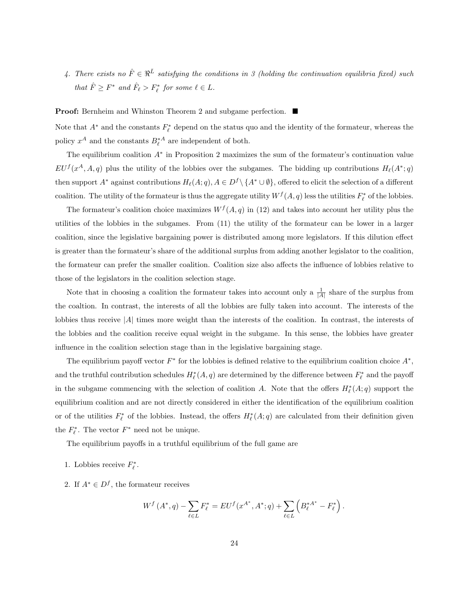4. There exists no  $\hat{F} \in \mathbb{R}^{\bar{L}}$  satisfying the conditions in 3 (holding the continuation equilibria fixed) such that  $\hat{F} \geq F^*$  and  $\hat{F}_{\ell} > F_{\ell}^*$  for some  $\ell \in L$ .

Proof: Bernheim and Whinston Theorem 2 and subgame perfection. ■

Note that  $A^*$  and the constants  $F^*_{\ell}$  depend on the status quo and the identity of the formateur, whereas the policy  $x^A$  and the constants  $B_{\ell}^{*A}$  are independent of both.

The equilibrium coalition A<sup>∗</sup> in Proposition 2 maximizes the sum of the formateur's continuation value  $EU^f(x^A, A, q)$  plus the utility of the lobbies over the subgames. The bidding up contributions  $H_\ell(A^*; q)$ then support  $A^*$  against contributions  $H_\ell(A; q), A \in D^f \setminus \{A^* \cup \emptyset\}$ , offered to elicit the selection of a different coalition. The utility of the formateur is thus the aggregate utility  $W^f(A,q)$  less the utilities  $F_\ell^*$  of the lobbies.

The formateur's coalition choice maximizes  $W<sup>f</sup>(A, q)$  in (12) and takes into account her utility plus the utilities of the lobbies in the subgames. From (11) the utility of the formateur can be lower in a larger coalition, since the legislative bargaining power is distributed among more legislators. If this dilution effect is greater than the formateur's share of the additional surplus from adding another legislator to the coalition, the formateur can prefer the smaller coalition. Coalition size also affects the influence of lobbies relative to those of the legislators in the coalition selection stage.

Note that in choosing a coalition the formateur takes into account only a  $\frac{1}{|A|}$  share of the surplus from the coaltion. In contrast, the interests of all the lobbies are fully taken into account. The interests of the lobbies thus receive |A| times more weight than the interests of the coalition. In contrast, the interests of the lobbies and the coalition receive equal weight in the subgame. In this sense, the lobbies have greater influence in the coalition selection stage than in the legislative bargaining stage.

The equilibrium payoff vector  $F^*$  for the lobbies is defined relative to the equilibrium coalition choice  $A^*$ , and the truthful contribution schedules  $H_{\ell}^*(A,q)$  are determined by the difference between  $F_{\ell}^*$  and the payoff in the subgame commencing with the selection of coalition A. Note that the offers  $H^*_{\ell}(A;q)$  support the equilibrium coalition and are not directly considered in either the identification of the equilibrium coalition or of the utilities  $F_{\ell}^*$  of the lobbies. Instead, the offers  $H_{\ell}^*(A;q)$  are calculated from their definition given the  $F_{\ell}^*$ . The vector  $F^*$  need not be unique.

The equilibrium payoffs in a truthful equilibrium of the full game are

- 1. Lobbies receive  $F_{\ell}^*$ .
- 2. If  $A^* \in D^f$ , the formateur receives

$$
W^{f}(A^*,q) - \sum_{\ell \in L} F_{\ell}^* = EU^{f}(x^{A^*}, A^*; q) + \sum_{\ell \in L} \left( B_{\ell}^{*A^*} - F_{\ell}^* \right).
$$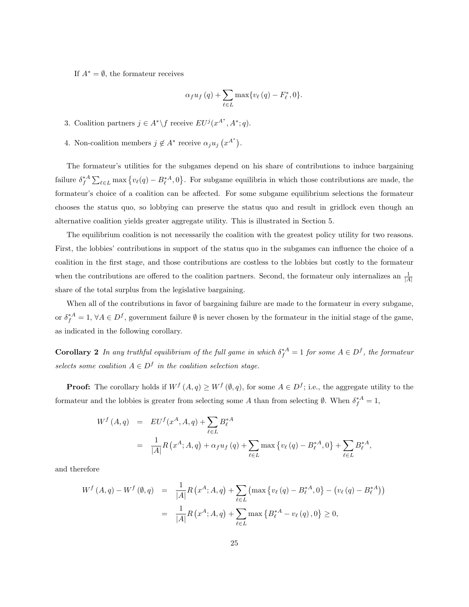If  $A^* = \emptyset$ , the formateur receives

$$
\alpha_f u_f(q) + \sum_{\ell \in L} \max \{ v_\ell(q) - F_\ell^*, 0 \}.
$$

- 3. Coalition partners  $j \in A^* \backslash f$  receive  $EU^j(x^{A^*}, A^*; q)$ .
- 4. Non-coalition members  $j \notin A^*$  receive  $\alpha_j u_j$  $\overline{a}$  $x^{A^*}$ .

The formateur's utilities for the subgames depend on his share of contributions to induce bargaining failure  $\delta_f^{*A}$  $\sum_{\ell \in L} \max \left\{ v_{\ell}(q) - B_{\ell}^{*A}, 0 \right\}$  $\overline{a}$ . For subgame equilibria in which those contributions are made, the formateur's choice of a coalition can be affected. For some subgame equilibrium selections the formateur chooses the status quo, so lobbying can preserve the status quo and result in gridlock even though an alternative coalition yields greater aggregate utility. This is illustrated in Section 5.

The equilibrium coalition is not necessarily the coalition with the greatest policy utility for two reasons. First, the lobbies' contributions in support of the status quo in the subgames can influence the choice of a coalition in the first stage, and those contributions are costless to the lobbies but costly to the formateur when the contributions are offered to the coalition partners. Second, the formateur only internalizes an  $\frac{1}{|A|}$ share of the total surplus from the legislative bargaining.

When all of the contributions in favor of bargaining failure are made to the formateur in every subgame, or  $\delta_f^{*A} = 1$ ,  $\forall A \in D^f$ , government failure  $\emptyset$  is never chosen by the formateur in the initial stage of the game, as indicated in the following corollary.

**Corollary 2** In any truthful equilibrium of the full game in which  $\delta_f^{*A} = 1$  for some  $A \in D^f$ , the formateur selects some coalition  $A \in D^f$  in the coalition selection stage.

**Proof:** The corollary holds if  $W^f(A,q) \geq W^f(\emptyset,q)$ , for some  $A \in D^f$ ; i.e., the aggregate utility to the formateur and the lobbies is greater from selecting some A than from selecting  $\emptyset$ . When  $\delta_f^{*A} = 1$ ,

$$
W^{f}(A,q) = EU^{f}(x^{A}, A, q) + \sum_{\ell \in L} B_{\ell}^{*A}
$$
  
= 
$$
\frac{1}{|A|} R(x^{A}; A, q) + \alpha_{f} u_{f}(q) + \sum_{\ell \in L} \max \{v_{\ell}(q) - B_{\ell}^{*A}, 0\} + \sum_{\ell \in L} B_{\ell}^{*A},
$$

and therefore

$$
W^{f}(A,q) - W^{f}(\emptyset, q) = \frac{1}{|A|} R(x^{A}; A, q) + \sum_{\ell \in L} (\max \{v_{\ell}(q) - B_{\ell}^{*A}, 0\} - (v_{\ell}(q) - B_{\ell}^{*A}))
$$
  

$$
= \frac{1}{|A|} R(x^{A}; A, q) + \sum_{\ell \in L} \max \{B_{\ell}^{*A} - v_{\ell}(q), 0\} \ge 0,
$$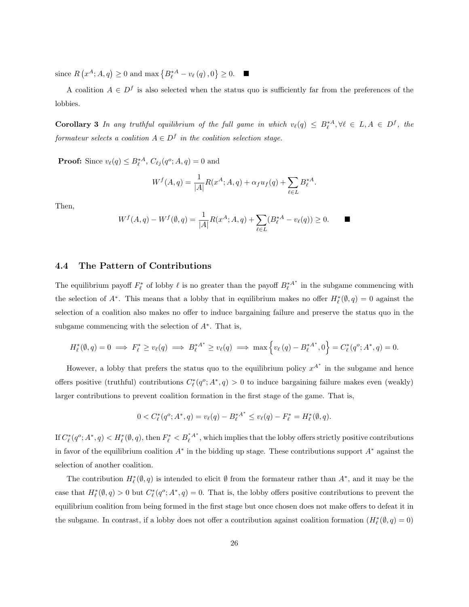since R  $\overline{a}$  $x^A$ ;  $A, q$ )  $\geq 0$  and max  $\left\{B_{\ell}^{*A} - v_{\ell}\left(q\right), 0\right\}$  $\overline{a}$  $\geq 0$ .  $\blacksquare$ 

A coalition  $A \in D^f$  is also selected when the status quo is sufficiently far from the preferences of the lobbies.

**Corollary 3** In any truthful equilibrium of the full game in which  $v_{\ell}(q) \leq B_{\ell}^{*A}, \forall \ell \in L, A \in D^f$ , the formateur selects a coalition  $A \in D^f$  in the coalition selection stage.

**Proof:** Since  $v_{\ell}(q) \leq B_{\ell}^{*A}$ ,  $C_{\ell j}(q^o; A, q) = 0$  and

$$
W^{f}(A,q) = \frac{1}{|A|} R(x^{A}; A, q) + \alpha_{f} u_{f}(q) + \sum_{\ell \in L} B_{\ell}^{*A}.
$$

Then,

$$
W^f(A,q) - W^f(\emptyset, q) = \frac{1}{|A|} R(x^A; A, q) + \sum_{\ell \in L} (B_{\ell}^{*A} - v_{\ell}(q)) \ge 0.
$$

### 4.4 The Pattern of Contributions

The equilibrium payoff  $F_{\ell}^*$  of lobby  $\ell$  is no greater than the payoff  $B_{\ell}^{*A^*}$  in the subgame commencing with the selection of  $A^*$ . This means that a lobby that in equilibrium makes no offer  $H^*_{\ell}(\emptyset, q) = 0$  against the selection of a coalition also makes no offer to induce bargaining failure and preserve the status quo in the subgame commencing with the selection of  $A^*$ . That is,

$$
H_{\ell}^{*}(\emptyset, q) = 0 \implies F_{\ell}^{*} \ge v_{\ell}(q) \implies B_{\ell}^{*A^{*}} \ge v_{\ell}(q) \implies \max\left\{v_{\ell}(q) - B_{\ell}^{*A^{*}}, 0\right\} = C_{\ell}^{*}(q^{o}; A^{*}, q) = 0.
$$

However, a lobby that prefers the status quo to the equilibrium policy  $x^{A^*}$  in the subgame and hence offers positive (truthful) contributions  $C_{\ell}^*(q^o; A^*, q) > 0$  to induce bargaining failure makes even (weakly) larger contributions to prevent coalition formation in the first stage of the game. That is,

$$
0 < C_{\ell}^*(q^o; A^*, q) = v_{\ell}(q) - B_{\ell}^{*A^*} \le v_{\ell}(q) - F_{\ell}^* = H_{\ell}^*(\emptyset, q).
$$

If  $C^*_{\ell}(q^o; A^*, q) < H^*_{\ell}(\emptyset, q)$ , then  $F^*_{\ell} < B^*_{\ell}A^*$ , which implies that the lobby offers strictly positive contributions in favor of the equilibrium coalition  $A^*$  in the bidding up stage. These contributions support  $A^*$  against the selection of another coalition.

The contribution  $H^*_{\ell}(\emptyset, q)$  is intended to elicit  $\emptyset$  from the formateur rather than  $A^*$ , and it may be the case that  $H^*_{\ell}(\emptyset, q) > 0$  but  $C^*_{\ell}(q^o; A^*, q) = 0$ . That is, the lobby offers positive contributions to prevent the equilibrium coalition from being formed in the first stage but once chosen does not make offers to defeat it in the subgame. In contrast, if a lobby does not offer a contribution against coalition formation  $(H_\ell^*(\emptyset, q) = 0)$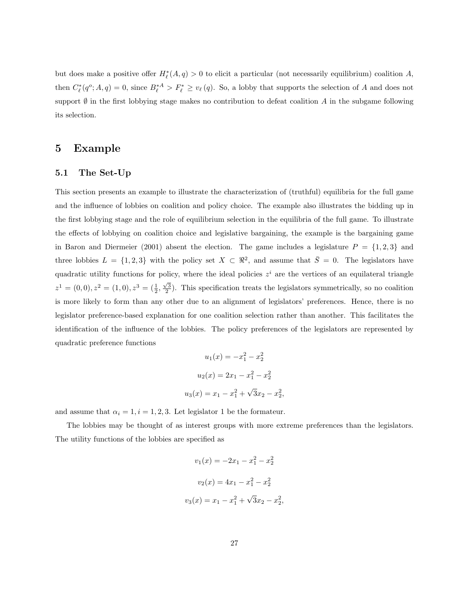but does make a positive offer  $H^*_{\ell}(A,q) > 0$  to elicit a particular (not necessarily equilibrium) coalition A, then  $C_{\ell}^*(q^o; A, q) = 0$ , since  $B_{\ell}^{*A} > F_{\ell}^* \geq v_{\ell}(q)$ . So, a lobby that supports the selection of A and does not support  $\emptyset$  in the first lobbying stage makes no contribution to defeat coalition A in the subgame following its selection.

### 5 Example

### 5.1 The Set-Up

This section presents an example to illustrate the characterization of (truthful) equilibria for the full game and the influence of lobbies on coalition and policy choice. The example also illustrates the bidding up in the first lobbying stage and the role of equilibrium selection in the equilibria of the full game. To illustrate the effects of lobbying on coalition choice and legislative bargaining, the example is the bargaining game in Baron and Diermeier (2001) absent the election. The game includes a legislature  $P = \{1, 2, 3\}$  and three lobbies  $L = \{1, 2, 3\}$  with the policy set  $X \subset \mathbb{R}^2$ , and assume that  $\overline{S} = 0$ . The legislators have quadratic utility functions for policy, where the ideal policies  $z^i$  are the vertices of an equilateral triangle  $z^1 = (0,0), z^2 = (1,0), z^3 = (\frac{1}{2}, \frac{\sqrt{3}}{2}).$  This specification treats the legislators symmetrically, so no coalition is more likely to form than any other due to an alignment of legislators' preferences. Hence, there is no legislator preference-based explanation for one coalition selection rather than another. This facilitates the identification of the influence of the lobbies. The policy preferences of the legislators are represented by quadratic preference functions

$$
u_1(x) = -x_1^2 - x_2^2
$$

$$
u_2(x) = 2x_1 - x_1^2 - x_2^2
$$

$$
u_3(x) = x_1 - x_1^2 + \sqrt{3}x_2 - x_2^2
$$

,

,

and assume that  $\alpha_i = 1, i = 1, 2, 3$ . Let legislator 1 be the formateur.

The lobbies may be thought of as interest groups with more extreme preferences than the legislators. The utility functions of the lobbies are specified as

$$
v_1(x) = -2x_1 - x_1^2 - x_2^2
$$

$$
v_2(x) = 4x_1 - x_1^2 - x_2^2
$$

$$
v_3(x) = x_1 - x_1^2 + \sqrt{3}x_2 - x_2^2
$$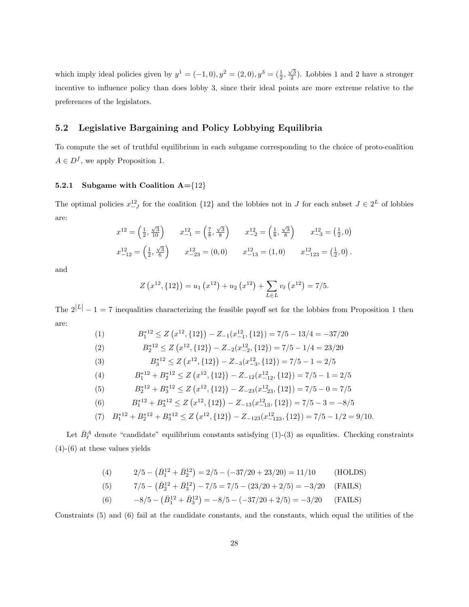which imply ideal policies given by  $y^1 = (-1,0)$ ,  $y^2 = (2,0)$ ,  $y^3 = (\frac{1}{2}, \frac{\sqrt{3}}{2})$ . Lobbies 1 and 2 have a stronger incentive to influence policy than does lobby 3, since their ideal points are more extreme relative to the preferences of the legislators.

### 5.2 Legislative Bargaining and Policy Lobbying Equilibria

To compute the set of truthful equilibrium in each subgame corresponding to the choice of proto-coalition  $A \in D^f$ , we apply Proposition 1.

#### 5.2.1 Subgame with Coalition  $A = \{12\}$

The optimal policies  $x_{-J}^{12}$  for the coalition  $\{12\}$  and the lobbies not in J for each subset  $J \in 2^L$  of lobbies are:

$$
x^{12} = \left(\frac{1}{2}, \frac{\sqrt{3}}{10}\right) \qquad x^{12}_{-1} = \left(\frac{7}{8}, \frac{\sqrt{3}}{8}\right) \qquad x^{12}_{-2} = \left(\frac{1}{8}, \frac{\sqrt{3}}{8}\right) \qquad x^{12}_{-3} = \left(\frac{1}{2}, 0\right)
$$

$$
x^{12}_{-12} = \left(\frac{1}{2}, \frac{\sqrt{3}}{6}\right) \qquad x^{12}_{-23} = (0, 0) \qquad x^{12}_{-13} = (1, 0) \qquad x^{12}_{-123} = \left(\frac{1}{2}, 0\right).
$$

and

$$
Z(x^{12},\{12\}) = u_1(x^{12}) + u_2(x^{12}) + \sum_{L \in L} v_\ell(x^{12}) = 7/5.
$$

The  $2^{|L|} - 1 = 7$  inequalities characterizing the feasible payoff set for the lobbies from Proposition 1 then are:

(1) 
$$
B_1^{*12} \le Z\left(x^{12}, \{12\}\right) - Z_{-1}(x_{-1}^{12}, \{12\}) = 7/5 - 13/4 = -37/20
$$

$$
B_2^{*12} \le Z\left(x^{12}, \{12\}\right) - Z_{-2}(x_{-2}^{12}, \{12\}) = 7/5 - 1/4 = 23/20
$$

(2) 
$$
B_2^{*12} \le Z\left(x^{12}, \{12\}\right) - Z_{-2}(x_{-2}^{12}, \{12\}) = 7/5 - 1/4 = 23/20
$$
  
(3) 
$$
B_3^{*12} \le Z\left(x^{12}, \{12\}\right) - Z_{-3}(x_{-3}^{12}, \{12\}) = 7/5 - 1 = 2/5
$$

(4) 
$$
B_1^{*12} + B_2^{*12} \le Z\left(x^{12}, \{12\}\right) - Z_{-12}\left(x^{12}, \{12\}\right) = 7/5 - 1 = 2/5
$$

(5) 
$$
B_2^{*12} + B_3^{*12} \le Z\left(x^{12}, \{12\}\right) - Z_{-23}\left(x^{12}_{-23}, \{12\}\right) = 7/5 - 0 = 7/5
$$
  
(6) 
$$
B_2^{*12} + B_3^{*12} \le Z\left(x^{12}, \{12\}\right) - Z_{-23}\left(x^{12}_{-23}, \{12\}\right) - 7/5 - 3 = -8/5
$$

(6) 
$$
B_1^{*12} + B_3^{*12} \le Z\left(x^{12}, \{12\}\right) - Z_{-13}\left(x^{12}_{-13}, \{12\}\right) = 7/5 - 3 = -8/5
$$

(7) 
$$
B_1^{*12} + B_2^{*12} + B_3^{*12} \le Z(x^{12}, \{12\}) - Z_{-123}(x_{-123}^{12}, \{12\}) = 7/5 - 1/2 = 9/10.
$$

Let  $\bar{B}_{\ell}^A$  denote "candidate" equilibrium constants satisfying (1)-(3) as equalities. Checking constraints (4)-(6) at these values yields

(4) 
$$
2/5 - (\bar{B}_1^{12} + \bar{B}_2^{12}) = 2/5 - (-37/20 + 23/20) = 11/10
$$
 (HOLDS)  
(5)  $7/5 - (\bar{B}_2^{12} + \bar{B}_3^{12}) - 7/5 = 7/5 - (23/20 + 2/5) = -3/20$  (FALS)

(6) 
$$
-8/5 - (\bar{B}_1^{12} + \bar{B}_3^{12}) = -8/5 - (-37/20 + 2/5) = -3/20
$$
 (FAILS)

Constraints (5) and (6) fail at the candidate constants, and the constants, which equal the utilities of the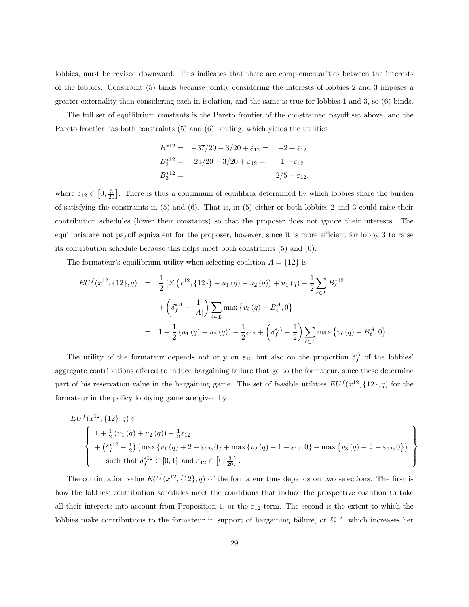lobbies, must be revised downward. This indicates that there are complementarities between the interests of the lobbies. Constraint (5) binds because jointly considering the interests of lobbies 2 and 3 imposes a greater externality than considering each in isolation, and the same is true for lobbies 1 and 3, so (6) binds.

The full set of equilibrium constants is the Pareto frontier of the constrained payoff set above, and the Pareto frontier has both constraints (5) and (6) binding, which yields the utilities

$$
B_1^{*12} = -37/20 - 3/20 + \varepsilon_{12} = -2 + \varepsilon_{12}
$$
  
\n
$$
B_2^{*12} = 23/20 - 3/20 + \varepsilon_{12} = 1 + \varepsilon_{12}
$$
  
\n
$$
B_3^{*12} = 2/5 - \varepsilon_{12},
$$

where  $\varepsilon_{12} \in$  $[0, \frac{3}{20}]$ . There is thus a continuum of equilibria determined by which lobbies share the burden of satisfying the constraints in (5) and (6). That is, in (5) either or both lobbies 2 and 3 could raise their contribution schedules (lower their constants) so that the proposer does not ignore their interests. The equilibria are not payoff equivalent for the proposer, however, since it is more efficient for lobby 3 to raise its contribution schedule because this helps meet both constraints (5) and (6).

The formateur's equilibrium utility when selecting coalition  $A = \{12\}$  is

$$
EU^f(x^{12}, \{12\}, q) = \frac{1}{2} \left( Z(x^{12}, \{12\}) - u_1(q) - u_2(q) \right) + u_1(q) - \frac{1}{2} \sum_{\ell \in L} B_{\ell}^{*12} + \left( \delta_f^{*A} - \frac{1}{|A|} \right) \sum_{\ell \in L} \max \left\{ v_{\ell}(q) - B_{\ell}^A, 0 \right\}
$$
  
=  $1 + \frac{1}{2} (u_1(q) - u_2(q)) - \frac{1}{2} \varepsilon_{12} + \left( \delta_f^{*A} - \frac{1}{2} \right) \sum_{\ell \in L} \max \left\{ v_{\ell}(q) - B_{\ell}^A, 0 \right\}.$ 

The utility of the formateur depends not only on  $\varepsilon_{12}$  but also on the proportion  $\delta_f^A$  of the lobbies' aggregate contributions offered to induce bargaining failure that go to the formateur, since these determine part of his reservation value in the bargaining game. The set of feasible utilities  $EU^f(x^{12}, \{12\}, q)$  for the formateur in the policy lobbying game are given by

$$
EUf(x12, {12}, q) \in
$$
  

$$
\begin{Bmatrix} 1 + \frac{1}{2} (u_1 (q) + u_2 (q)) - \frac{1}{2} \varepsilon_{12} \\ + (\delta_f^{*12} - \frac{1}{2}) ( \max \{ v_1 (q) + 2 - \varepsilon_{12}, 0 \} + \max \{ v_2 (q) - 1 - \varepsilon_{12}, 0 \} + \max \{ v_3 (q) - \frac{2}{5} + \varepsilon_{12}, 0 \} ) \\ \text{such that } \delta_f^{*12} \in [0, 1] \text{ and } \varepsilon_{12} \in [0, \frac{3}{20}]. \end{Bmatrix}
$$

The continuation value  $EU^{f}(x^{12}, \{12\}, q)$  of the formateur thus depends on two selections. The first is how the lobbies' contribution schedules meet the conditions that induce the prospective coalition to take all their interests into account from Proposition 1, or the  $\varepsilon_{12}$  term. The second is the extent to which the lobbies make contributions to the formateur in support of bargaining failure, or  $\delta_{\ell}^{*12}$ , which increases her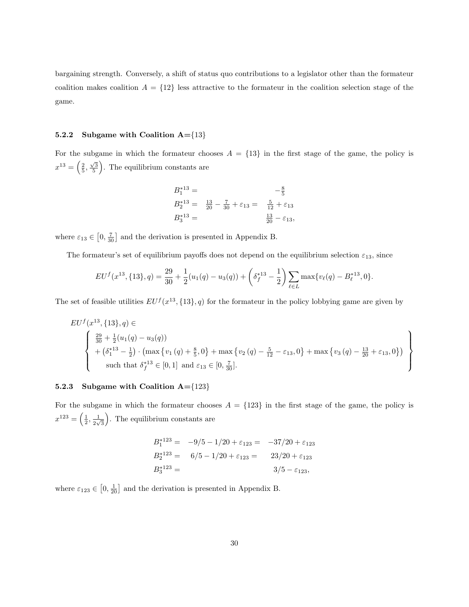bargaining strength. Conversely, a shift of status quo contributions to a legislator other than the formateur coalition makes coalition  $A = \{12\}$  less attractive to the formateur in the coalition selection stage of the game.

#### 5.2.2 Subgame with Coalition  $A = \{13\}$

For the subgame in which the formateur chooses  $A = \{13\}$  in the first stage of the game, the policy is  $x^{13} = \left(\frac{2}{5}, \frac{\sqrt{3}}{5}\right)$ . The equilibrium constants are

$$
B_1^{*13} = -\frac{8}{5}
$$
  
\n
$$
B_2^{*13} = \frac{13}{20} - \frac{7}{30} + \varepsilon_{13} = \frac{5}{12} + \varepsilon_{13}
$$
  
\n
$$
B_3^{*13} = \frac{13}{20} - \varepsilon_{13},
$$

where  $\varepsilon_{13} \in$  $[0, \frac{7}{30}]$  and the derivation is presented in Appendix B.

The formateur's set of equilibrium payoffs does not depend on the equilibrium selection  $\varepsilon_{13}$ , since

$$
EU^f(x^{13}, \{13\}, q) = \frac{29}{30} + \frac{1}{2}(u_1(q) - u_3(q)) + \left(\delta_f^{*13} - \frac{1}{2}\right) \sum_{\ell \in L} \max\{v_\ell(q) - B_\ell^{*13}, 0\}.
$$

The set of feasible utilities  $EU^{f}(x^{13}, \{13\}, q)$  for the formateur in the policy lobbying game are given by

$$
EUf(x13, {13}, q) \in
$$
  

$$
\begin{Bmatrix} \frac{29}{30} + \frac{1}{2}(u_1(q) - u_3(q)) \\ + (\delta_1^{*13} - \frac{1}{2}) \cdot (\max\{v_1(q) + \frac{8}{5}, 0\} + \max\{v_2(q) - \frac{5}{12} - \varepsilon_{13}, 0\} + \max\{v_3(q) - \frac{13}{20} + \varepsilon_{13}, 0\}) \\ \text{such that } \delta_f^{*13} \in [0, 1] \text{ and } \varepsilon_{13} \in [0, \frac{7}{30}]. \end{Bmatrix}
$$

### 5.2.3 Subgame with Coalition  $A = \{123\}$

For the subgame in which the formateur chooses  $A = \{123\}$  in the first stage of the game, the policy is  $x^{123} =$  $\left(\frac{1}{2},\frac{1}{2\nu}\right)$  $\frac{1}{2\sqrt{3}}$ ...<br>\ . The equilibrium constants are

$$
B_1^{*123} = -9/5 - 1/20 + \varepsilon_{123} = -37/20 + \varepsilon_{123}
$$
  
\n
$$
B_2^{*123} = 6/5 - 1/20 + \varepsilon_{123} = 23/20 + \varepsilon_{123}
$$
  
\n
$$
B_3^{*123} = 3/5 - \varepsilon_{123},
$$

where  $\varepsilon_{123} \in$  $[0, \frac{1}{20}]$  and the derivation is presented in Appendix B.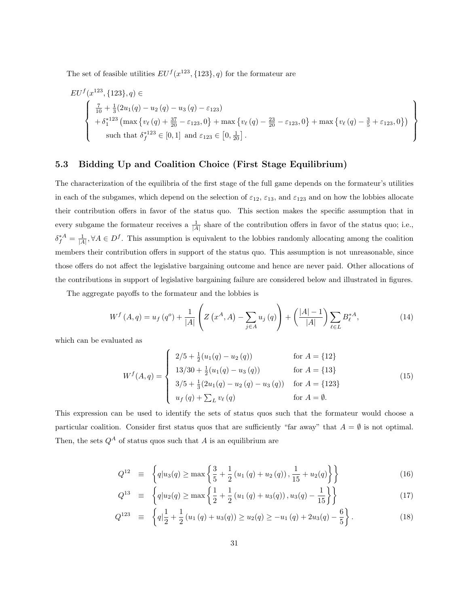The set of feasible utilities  $EU^{f}(x^{123}, \{123\}, q)$  for the formateur are

$$
EUf(x123, {123}, q) \in
$$
  

$$
\begin{Bmatrix} \frac{7}{10} + \frac{1}{3}(2u_1(q) - u_2(q) - u_3(q) - \varepsilon_{123}) \\ + \delta_1^{*123} (\max \{v_{\ell}(q) + \frac{37}{20} - \varepsilon_{123}, 0\} + \max \{v_{\ell}(q) - \frac{23}{20} - \varepsilon_{123}, 0\} + \max \{v_{\ell}(q) - \frac{3}{5} + \varepsilon_{123}, 0\}) \\ \text{such that } \delta_f^{*123} \in [0, 1] \text{ and } \varepsilon_{123} \in [0, \frac{1}{20}]. \end{Bmatrix}
$$

### 5.3 Bidding Up and Coalition Choice (First Stage Equilibrium)

The characterization of the equilibria of the first stage of the full game depends on the formateur's utilities in each of the subgames, which depend on the selection of  $\varepsilon_{12}$ ,  $\varepsilon_{13}$ , and  $\varepsilon_{123}$  and on how the lobbies allocate their contribution offers in favor of the status quo. This section makes the specific assumption that in every subgame the formateur receives a  $\frac{1}{|A|}$  share of the contribution offers in favor of the status quo; i.e.,  $\delta_f^{*A} = \frac{1}{|A|}, \forall A \in D^f$ . This assumption is equivalent to the lobbies randomly allocating among the coalition members their contribution offers in support of the status quo. This assumption is not unreasonable, since those offers do not affect the legislative bargaining outcome and hence are never paid. Other allocations of the contributions in support of legislative bargaining failure are considered below and illustrated in figures.

The aggregate payoffs to the formateur and the lobbies is

 $\overline{a}$ 

$$
W^{f}(A,q) = u_{f}(q^{o}) + \frac{1}{|A|} \left( Z\left(x^{A}, A\right) - \sum_{j \in A} u_{j}(q) \right) + \left( \frac{|A| - 1}{|A|} \right) \sum_{\ell \in L} B_{\ell}^{*A}, \tag{14}
$$

which can be evaluated as

$$
W^{f}(A,q) = \begin{cases} 2/5 + \frac{1}{2}(u_{1}(q) - u_{2}(q)) & \text{for } A = \{12\} \\ 13/30 + \frac{1}{2}(u_{1}(q) - u_{3}(q)) & \text{for } A = \{13\} \\ 3/5 + \frac{1}{3}(2u_{1}(q) - u_{2}(q) - u_{3}(q)) & \text{for } A = \{123\} \\ u_{f}(q) + \sum_{L} v_{\ell}(q) & \text{for } A = \emptyset. \end{cases}
$$
(15)

This expression can be used to identify the sets of status quos such that the formateur would choose a particular coalition. Consider first status quos that are sufficiently "far away" that  $A = \emptyset$  is not optimal. Then, the sets  $Q^A$  of status quos such that A is an equilibrium are

$$
Q^{12} \equiv \left\{ q | u_3(q) \ge \max \left\{ \frac{3}{5} + \frac{1}{2} \left( u_1(q) + u_2(q) \right), \frac{1}{15} + u_2(q) \right\} \right\} \tag{16}
$$

$$
Q^{13} \equiv \left\{ q | u_2(q) \ge \max \left\{ \frac{1}{2} + \frac{1}{2} \left( u_1 \left( q \right) + u_3(q) \right), u_3(q) - \frac{1}{15} \right\} \right\} \tag{17}
$$

$$
Q^{123} \equiv \left\{ q \Big| \frac{1}{2} + \frac{1}{2} \left( u_1 \left( q \right) + u_3 \left( q \right) \right) \geq u_2 \left( q \right) \geq -u_1 \left( q \right) + 2u_3 \left( q \right) - \frac{6}{5} \right\}.
$$
 (18)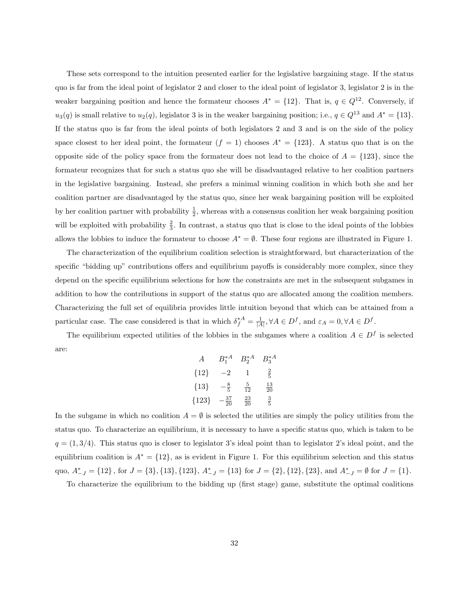These sets correspond to the intuition presented earlier for the legislative bargaining stage. If the status quo is far from the ideal point of legislator 2 and closer to the ideal point of legislator 3, legislator 2 is in the weaker bargaining position and hence the formateur chooses  $A^* = \{12\}$ . That is,  $q \in Q^{12}$ . Conversely, if  $u_3(q)$  is small relative to  $u_2(q)$ , legislator 3 is in the weaker bargaining position; i.e.,  $q \in Q^{13}$  and  $A^* = \{13\}$ . If the status quo is far from the ideal points of both legislators 2 and 3 and is on the side of the policy space closest to her ideal point, the formateur  $(f = 1)$  chooses  $A^* = \{123\}$ . A status quo that is on the opposite side of the policy space from the formateur does not lead to the choice of  $A = \{123\}$ , since the formateur recognizes that for such a status quo she will be disadvantaged relative to her coalition partners in the legislative bargaining. Instead, she prefers a minimal winning coalition in which both she and her coalition partner are disadvantaged by the status quo, since her weak bargaining position will be exploited by her coalition partner with probability  $\frac{1}{2}$ , whereas with a consensus coalition her weak bargaining position will be exploited with probability  $\frac{2}{3}$ . In contrast, a status quo that is close to the ideal points of the lobbies allows the lobbies to induce the formateur to choose  $A^* = \emptyset$ . These four regions are illustrated in Figure 1.

The characterization of the equilibrium coalition selection is straightforward, but characterization of the specific "bidding up" contributions offers and equilibrium payoffs is considerably more complex, since they depend on the specific equilibrium selections for how the constraints are met in the subsequent subgames in addition to how the contributions in support of the status quo are allocated among the coalition members. Characterizing the full set of equilibria provides little intuition beyond that which can be attained from a particular case. The case considered is that in which  $\delta_f^{*A} = \frac{1}{|A|}, \forall A \in D^f$ , and  $\varepsilon_A = 0, \forall A \in D^f$ .

The equilibrium expected utilities of the lobbies in the subgames where a coalition  $A \in D^f$  is selected are:

| A       | $B_1^*$ <sup>A</sup> | $B_2^{\ast A}$  | $B_3^*$ <sup>A</sup> |
|---------|----------------------|-----------------|----------------------|
| ${12}$  | $-2$                 | 1               | $\frac{2}{5}$        |
| ${13}$  | $-\frac{8}{5}$       | $\frac{5}{12}$  | $\frac{13}{20}$      |
| ${123}$ | $\frac{37}{20}$      | $\frac{23}{20}$ | $\frac{3}{5}$        |

In the subgame in which no coalition  $A = \emptyset$  is selected the utilities are simply the policy utilities from the status quo. To characterize an equilibrium, it is necessary to have a specific status quo, which is taken to be  $q = (1, 3/4)$ . This status quo is closer to legislator 3's ideal point than to legislator 2's ideal point, and the equilibrium coalition is  $A^* = \{12\}$ , as is evident in Figure 1. For this equilibrium selection and this status quo,  $A_{-J}^* = \{12\}$ , for  $J = \{3\}$ ,  $\{13\}$ ,  $\{123\}$ ,  $A_{-J}^* = \{13\}$  for  $J = \{2\}$ ,  $\{12\}$ ,  $\{23\}$ , and  $A_{-J}^* = \emptyset$  for  $J = \{1\}$ .

To characterize the equilibrium to the bidding up (first stage) game, substitute the optimal coalitions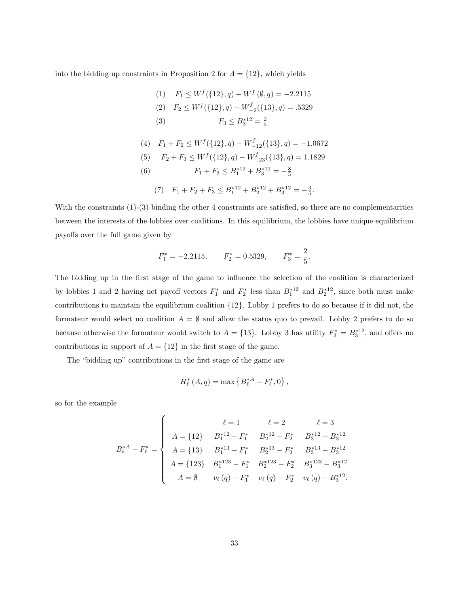into the bidding up constraints in Proposition 2 for  $A = \{12\}$ , which yields

(1) 
$$
F_1 \le W^f(\{12\}, q) - W^f(\emptyset, q) = -2.2115
$$
  
\n(2)  $F_2 \le W^f(\{12\}, q) - W^f_{-2}(\{13\}, q) = .5329$   
\n(3)  $F_3 \le B_3^{*12} = \frac{2}{5}$ 

(4) 
$$
F_1 + F_2 \le W^f(\{12\}, q) - W^f_{-12}(\{13\}, q) = -1.0672
$$

(5) 
$$
F_2 + F_3 \le W^f(\{12\}, q) - W^f_{-23}(\{13\}, q) = 1.1829
$$

- (6)  $F_1 + F_3 \leq B_1^{*12} + B_3^{*12} = -\frac{8}{5}$ 
	- (7)  $F_1 + F_2 + F_3 \leq B_1^{*12} + B_2^{*12} + B_3^{*12} = -\frac{3}{5}.$

With the constraints (1)-(3) binding the other 4 constraints are satisfied, so there are no complementarities between the interests of the lobbies over coalitions. In this equilibrium, the lobbies have unique equilibrium payoffs over the full game given by

$$
F_1^* = -2.2115
$$
,  $F_2^* = 0.5329$ ,  $F_3^* = \frac{2}{5}$ .

The bidding up in the first stage of the game to influence the selection of the coalition is characterized by lobbies 1 and 2 having net payoff vectors  $F_1^*$  and  $F_2^*$  less than  $B_1^{*12}$  and  $B_2^{*12}$ , since both must make contributions to maintain the equilibrium coalition {12}. Lobby 1 prefers to do so because if it did not, the formateur would select no coalition  $A = \emptyset$  and allow the status quo to prevail. Lobby 2 prefers to do so because otherwise the formateur would switch to  $A = \{13\}$ . Lobby 3 has utility  $F_3^* = B_3^{*12}$ , and offers no contributions in support of  $A = \{12\}$  in the first stage of the game.

The "bidding up" contributions in the first stage of the game are

 $\overline{a}$ 

$$
H_{\ell}^{*}(A,q) = \max \left\{ B_{\ell}^{*A} - F_{\ell}^{*}, 0 \right\},\,
$$

so for the example

$$
B_{\ell}^{*A} - F_{\ell}^{*} = \begin{cases} \ell = 1 & \ell = 2 & \ell = 3 \\ A = \{12\} & B_{1}^{*12} - F_{1}^{*} & B_{2}^{*12} - F_{2}^{*} & B_{3}^{*12} - B_{3}^{*12} \\ A = \{13\} & B_{1}^{*13} - F_{1}^{*} & B_{2}^{*13} - F_{2}^{*} & B_{3}^{*13} - B_{3}^{*12} \\ A = \{123\} & B_{1}^{*123} - F_{1}^{*} & B_{2}^{*123} - F_{2}^{*} & B_{3}^{*123} - B_{3}^{*12} \\ A = \emptyset & v_{\ell}(q) - F_{1}^{*} & v_{\ell}(q) - F_{2}^{*} & v_{\ell}(q) - B_{3}^{*12} .\end{cases}
$$

.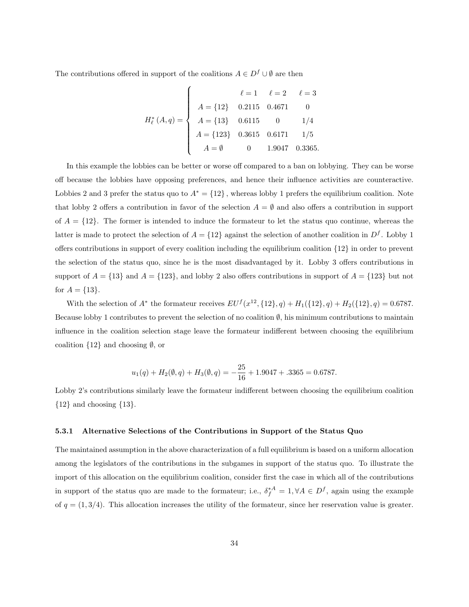The contributions offered in support of the coalitions  $A \in D^f \cup \emptyset$  are then

$$
H_{\ell}^{*}(A,q) = \begin{cases} \n\ell = 1 & \ell = 2 & \ell = 3 \\
A = \{12\} & 0.2115 & 0.4671 & 0 \\
A = \{13\} & 0.6115 & 0 & 1/4 \\
A = \{123\} & 0.3615 & 0.6171 & 1/5 \\
A = \emptyset & 0 & 1.9047 & 0.3365.\n\end{cases}
$$

In this example the lobbies can be better or worse off compared to a ban on lobbying. They can be worse off because the lobbies have opposing preferences, and hence their influence activities are counteractive. Lobbies 2 and 3 prefer the status quo to  $A^* = \{12\}$ , whereas lobby 1 prefers the equilibrium coalition. Note that lobby 2 offers a contribution in favor of the selection  $A = \emptyset$  and also offers a contribution in support of  $A = \{12\}$ . The former is intended to induce the formateur to let the status quo continue, whereas the latter is made to protect the selection of  $A = \{12\}$  against the selection of another coalition in  $D<sup>f</sup>$ . Lobby 1 offers contributions in support of every coalition including the equilibrium coalition {12} in order to prevent the selection of the status quo, since he is the most disadvantaged by it. Lobby 3 offers contributions in support of  $A = \{13\}$  and  $A = \{123\}$ , and lobby 2 also offers contributions in support of  $A = \{123\}$  but not for  $A = \{13\}.$ 

With the selection of  $A^*$  the formateur receives  $EU^f(x^{12}, \{12\}, q) + H_1(\{12\}, q) + H_2(\{12\}, q) = 0.6787$ . Because lobby 1 contributes to prevent the selection of no coalition  $\emptyset$ , his minimum contributions to maintain influence in the coalition selection stage leave the formateur indifferent between choosing the equilibrium coalition  $\{12\}$  and choosing  $\emptyset$ , or

$$
u_1(q) + H_2(\emptyset, q) + H_3(\emptyset, q) = -\frac{25}{16} + 1.9047 + .3365 = 0.6787.
$$

Lobby 2's contributions similarly leave the formateur indifferent between choosing the equilibrium coalition  ${12}$  and choosing  ${13}$ .

#### 5.3.1 Alternative Selections of the Contributions in Support of the Status Quo

The maintained assumption in the above characterization of a full equilibrium is based on a uniform allocation among the legislators of the contributions in the subgames in support of the status quo. To illustrate the import of this allocation on the equilibrium coalition, consider first the case in which all of the contributions in support of the status quo are made to the formateur; i.e.,  $\delta_f^{*A} = 1, \forall A \in D^f$ , again using the example of  $q = (1, 3/4)$ . This allocation increases the utility of the formateur, since her reservation value is greater.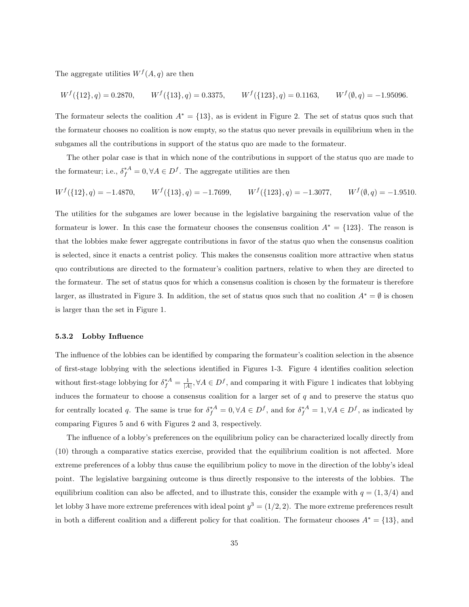The aggregate utilities  $W<sup>f</sup>(A, q)$  are then

$$
W^f(\{12\},q) = 0.2870, \qquad W^f(\{13\},q) = 0.3375, \qquad W^f(\{123\},q) = 0.1163, \qquad W^f(\emptyset,q) = -1.95096.
$$

The formateur selects the coalition  $A^* = \{13\}$ , as is evident in Figure 2. The set of status quos such that the formateur chooses no coalition is now empty, so the status quo never prevails in equilibrium when in the subgames all the contributions in support of the status quo are made to the formateur.

The other polar case is that in which none of the contributions in support of the status quo are made to the formateur; i.e.,  $\delta_f^{*A} = 0, \forall A \in D^f$ . The aggregate utilities are then

$$
W^f(\{12\},q) = -1.4870, \qquad W^f(\{13\},q) = -1.7699, \qquad W^f(\{123\},q) = -1.3077, \qquad W^f(\emptyset,q) = -1.9510.
$$

The utilities for the subgames are lower because in the legislative bargaining the reservation value of the formateur is lower. In this case the formateur chooses the consensus coalition  $A^* = \{123\}$ . The reason is that the lobbies make fewer aggregate contributions in favor of the status quo when the consensus coalition is selected, since it enacts a centrist policy. This makes the consensus coalition more attractive when status quo contributions are directed to the formateur's coalition partners, relative to when they are directed to the formateur. The set of status quos for which a consensus coalition is chosen by the formateur is therefore larger, as illustrated in Figure 3. In addition, the set of status quos such that no coalition  $A^* = \emptyset$  is chosen is larger than the set in Figure 1.

#### 5.3.2 Lobby Influence

The influence of the lobbies can be identified by comparing the formateur's coalition selection in the absence of first-stage lobbying with the selections identified in Figures 1-3. Figure 4 identifies coalition selection without first-stage lobbying for  $\delta_f^{*A} = \frac{1}{|A|}, \forall A \in D^f$ , and comparing it with Figure 1 indicates that lobbying induces the formateur to choose a consensus coalition for a larger set of  $q$  and to preserve the status quo for centrally located q. The same is true for  $\delta_f^{*A} = 0, \forall A \in D^f$ , and for  $\delta_f^{*A} = 1, \forall A \in D^f$ , as indicated by comparing Figures 5 and 6 with Figures 2 and 3, respectively.

The influence of a lobby's preferences on the equilibrium policy can be characterized locally directly from (10) through a comparative statics exercise, provided that the equilibrium coalition is not affected. More extreme preferences of a lobby thus cause the equilibrium policy to move in the direction of the lobby's ideal point. The legislative bargaining outcome is thus directly responsive to the interests of the lobbies. The equilibrium coalition can also be affected, and to illustrate this, consider the example with  $q = (1, 3/4)$  and let lobby 3 have more extreme preferences with ideal point  $y^3 = (1/2, 2)$ . The more extreme preferences result in both a different coalition and a different policy for that coalition. The formateur chooses  $A^* = \{13\}$ , and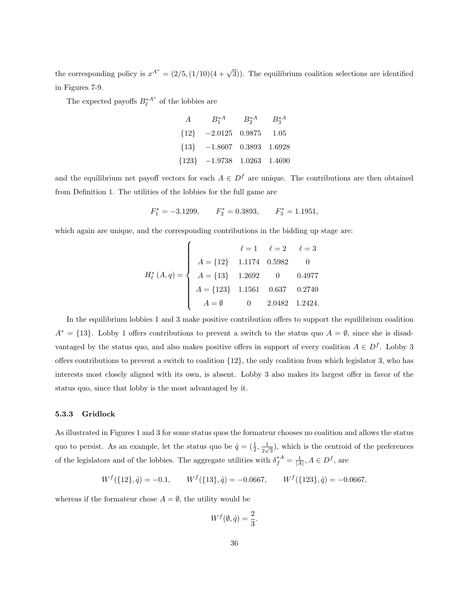the corresponding policy is  $x^{A^*} = (2/5, (1/10)(4 + \sqrt{3}))$ . The equilibrium coalition selections are identified in Figures 7-9.

The expected payoffs  $B_{\ell}^{*A^*}$  of the lobbies are

| $A$       | $B_1^{*A}$ | $B_2^{*A}$ | $B_3^{*A}$ |
|-----------|------------|------------|------------|
| $\{12\}$  | $-2.0125$  | $0.9875$   | $1.05$     |
| $\{13\}$  | $-1.8607$  | $0.3893$   | $1.6928$   |
| $\{123\}$ | $-1.9738$  | $1.0263$   | $1.4690$   |

and the equilibrium net payoff vectors for each  $A \in D^f$  are unique. The contributions are then obtained from Definition 1. The utilities of the lobbies for the full game are

$$
F_1^* = -3.1299,
$$
  $F_2^* = 0.3893,$   $F_3^* = 1.1951,$ 

which again are unique, and the corresponding contributions in the bidding up stage are:

$$
H_{\ell}^{*}(A,q) = \begin{cases} \n\ell = 1 & \ell = 2 & \ell = 3 \\
A = \{12\} & 1.1174 & 0.5982 & 0 \\
A = \{13\} & 1.2692 & 0 & 0.4977 \\
A = \{123\} & 1.1561 & 0.637 & 0.2740 \\
A = \emptyset & 0 & 2.0482 & 1.2424.\n\end{cases}
$$

In the equilibrium lobbies 1 and 3 make positive contribution offers to support the equilibrium coalition  $A^* = \{13\}$ . Lobby 1 offers contributions to prevent a switch to the status quo  $A = \emptyset$ , since she is disadvantaged by the status quo, and also makes positive offers in support of every coalition  $A \in D<sup>f</sup>$ . Lobby 3 offers contributions to prevent a switch to coalition  $\{12\}$ , the only coalition from which legislator 3, who has interests most closely aligned with its own, is absent. Lobby 3 also makes its largest offer in favor of the status quo, since that lobby is the most advantaged by it.

#### 5.3.3 Gridlock

As illustrated in Figures 1 and 3 for some status quos the formateur chooses no coalition and allows the status quo to persist. As an example, let the status quo be  $\hat{q} = (\frac{1}{2}, \frac{1}{2y})$  $\frac{1}{2\sqrt{3}}$ , which is the centroid of the preferences of the legislators and of the lobbies. The aggregate utilities with  $\delta_f^{*A} = \frac{1}{|A|}, A \in D^f$ , are

 $W^{f}(\{12\}, \hat{q}) = -0.1, \qquad W^{f}(\{13\}, \hat{q}) = -0.0667, \qquad W^{f}(\{123\}, \hat{q}) = -0.0667,$ 

whereas if the formateur chose  $A = \emptyset$ , the utility would be

$$
W^f(\emptyset, \hat{q}) = \frac{2}{3}.
$$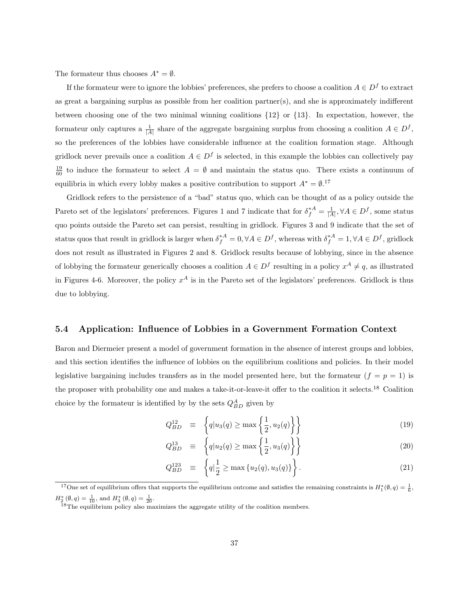The formateur thus chooses  $A^* = \emptyset$ .

If the formateur were to ignore the lobbies' preferences, she prefers to choose a coalition  $A \in D^f$  to extract as great a bargaining surplus as possible from her coalition partner(s), and she is approximately indifferent between choosing one of the two minimal winning coalitions  $\{12\}$  or  $\{13\}$ . In expectation, however, the formateur only captures a  $\frac{1}{|A|}$  share of the aggregate bargaining surplus from choosing a coalition  $A \in D^f$ , so the preferences of the lobbies have considerable influence at the coalition formation stage. Although gridlock never prevails once a coalition  $A \in D^f$  is selected, in this example the lobbies can collectively pay  $\frac{19}{60}$  to induce the formateur to select  $A = \emptyset$  and maintain the status quo. There exists a continuum of equilibria in which every lobby makes a positive contribution to support  $A^* = \emptyset$ .<sup>17</sup>

Gridlock refers to the persistence of a "bad" status quo, which can be thought of as a policy outside the Pareto set of the legislators' preferences. Figures 1 and 7 indicate that for  $\delta_f^{*A} = \frac{1}{|A|}, \forall A \in D^f$ , some status quo points outside the Pareto set can persist, resulting in gridlock. Figures 3 and 9 indicate that the set of status quos that result in gridlock is larger when  $\delta_f^{*A} = 0, \forall A \in D^f$ , whereas with  $\delta_f^{*A} = 1, \forall A \in D^f$ , gridlock does not result as illustrated in Figures 2 and 8. Gridlock results because of lobbying, since in the absence of lobbying the formateur generically chooses a coalition  $A \in D^f$  resulting in a policy  $x^A \neq q$ , as illustrated in Figures 4-6. Moreover, the policy  $x^A$  is in the Pareto set of the legislators' preferences. Gridlock is thus due to lobbying.

### 5.4 Application: Influence of Lobbies in a Government Formation Context

Baron and Diermeier present a model of government formation in the absence of interest groups and lobbies, and this section identifies the influence of lobbies on the equilibrium coalitions and policies. In their model legislative bargaining includes transfers as in the model presented here, but the formateur  $(f = p = 1)$  is the proposer with probability one and makes a take-it-or-leave-it offer to the coalition it selects.<sup>18</sup> Coalition choice by the formateur is identified by by the sets  $Q_{BD}^A$  given by

$$
Q_{BD}^{12} \equiv \left\{ q | u_3(q) \ge \max\left\{ \frac{1}{2}, u_2(q) \right\} \right\} \tag{19}
$$

$$
Q_{BD}^{13} \equiv \left\{ q | u_2(q) \ge \max\left\{ \frac{1}{2}, u_3(q) \right\} \right\} \tag{20}
$$

$$
Q_{BD}^{123} \equiv \left\{ q \Big| \frac{1}{2} \ge \max \left\{ u_2(q), u_3(q) \right\} \right\}.
$$
 (21)

<sup>&</sup>lt;sup>17</sup>One set of equilibrium offers that supports the equilibrium outcome and satisfies the remaining constraints is  $H_1^*(\emptyset, q) = \frac{1}{6}$ ,  $H_2^*\left(\emptyset, q\right) = \frac{1}{10}$ , and  $H_3^*\left(\emptyset, q\right) = \frac{1}{20}$ .

<sup>&</sup>lt;sup>18</sup>The equilibrium policy also maximizes the aggregate utility of the coalition members.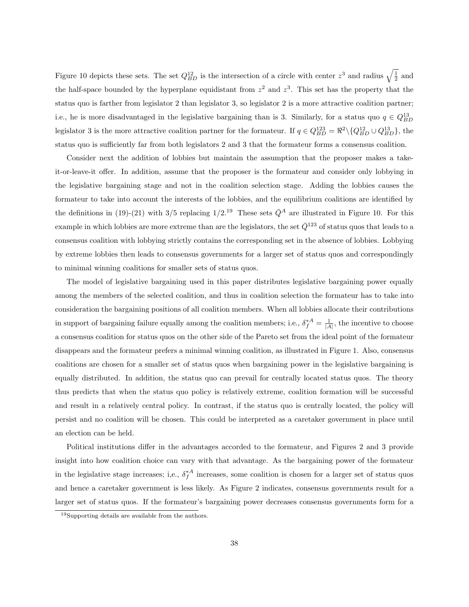Figure 10 depicts these sets. The set  $Q_{BD}^{12}$  is the intersection of a circle with center  $z^3$  and radius  $\sqrt{\frac{1}{2}}$  and the half-space bounded by the hyperplane equidistant from  $z^2$  and  $z^3$ . This set has the property that the status quo is farther from legislator 2 than legislator 3, so legislator 2 is a more attractive coalition partner; i.e., he is more disadvantaged in the legislative bargaining than is 3. Similarly, for a status quo  $q \in Q_{BD}^{13}$ legislator 3 is the more attractive coalition partner for the formateur. If  $q \in Q_{BD}^{123} = \Re^2 \setminus \{Q_{BD}^{12} \cup Q_{BD}^{13}\},\$  the status quo is sufficiently far from both legislators 2 and 3 that the formateur forms a consensus coalition.

Consider next the addition of lobbies but maintain the assumption that the proposer makes a takeit-or-leave-it offer. In addition, assume that the proposer is the formateur and consider only lobbying in the legislative bargaining stage and not in the coalition selection stage. Adding the lobbies causes the formateur to take into account the interests of the lobbies, and the equilibrium coalitions are identified by the definitions in (19)-(21) with 3/5 replacing  $1/2^{19}$  These sets  $\bar{Q}^A$  are illustrated in Figure 10. For this example in which lobbies are more extreme than are the legislators, the set  $\bar{Q}^{123}$  of status quos that leads to a consensus coalition with lobbying strictly contains the corresponding set in the absence of lobbies. Lobbying by extreme lobbies then leads to consensus governments for a larger set of status quos and correspondingly to minimal winning coalitions for smaller sets of status quos.

The model of legislative bargaining used in this paper distributes legislative bargaining power equally among the members of the selected coalition, and thus in coalition selection the formateur has to take into consideration the bargaining positions of all coalition members. When all lobbies allocate their contributions in support of bargaining failure equally among the coalition members; i.e.,  $\delta_f^*{}^A = \frac{1}{|A|}$ , the incentive to choose a consensus coalition for status quos on the other side of the Pareto set from the ideal point of the formateur disappears and the formateur prefers a minimal winning coalition, as illustrated in Figure 1. Also, consensus coalitions are chosen for a smaller set of status quos when bargaining power in the legislative bargaining is equally distributed. In addition, the status quo can prevail for centrally located status quos. The theory thus predicts that when the status quo policy is relatively extreme, coalition formation will be successful and result in a relatively central policy. In contrast, if the status quo is centrally located, the policy will persist and no coalition will be chosen. This could be interpreted as a caretaker government in place until an election can be held.

Political institutions differ in the advantages accorded to the formateur, and Figures 2 and 3 provide insight into how coalition choice can vary with that advantage. As the bargaining power of the formateur in the legislative stage increases; i,e.,  $\delta_f^*{}^A$  increases, some coalition is chosen for a larger set of status quos and hence a caretaker government is less likely. As Figure 2 indicates, consensus governments result for a larger set of status quos. If the formateur's bargaining power decreases consensus governments form for a

<sup>19</sup>Supporting details are available from the authors.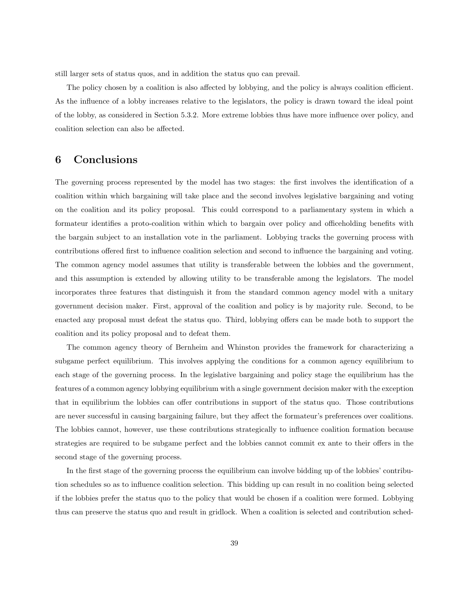still larger sets of status quos, and in addition the status quo can prevail.

The policy chosen by a coalition is also affected by lobbying, and the policy is always coalition efficient. As the influence of a lobby increases relative to the legislators, the policy is drawn toward the ideal point of the lobby, as considered in Section 5.3.2. More extreme lobbies thus have more influence over policy, and coalition selection can also be affected.

# 6 Conclusions

The governing process represented by the model has two stages: the first involves the identification of a coalition within which bargaining will take place and the second involves legislative bargaining and voting on the coalition and its policy proposal. This could correspond to a parliamentary system in which a formateur identifies a proto-coalition within which to bargain over policy and officeholding benefits with the bargain subject to an installation vote in the parliament. Lobbying tracks the governing process with contributions offered first to influence coalition selection and second to influence the bargaining and voting. The common agency model assumes that utility is transferable between the lobbies and the government, and this assumption is extended by allowing utility to be transferable among the legislators. The model incorporates three features that distinguish it from the standard common agency model with a unitary government decision maker. First, approval of the coalition and policy is by majority rule. Second, to be enacted any proposal must defeat the status quo. Third, lobbying offers can be made both to support the coalition and its policy proposal and to defeat them.

The common agency theory of Bernheim and Whinston provides the framework for characterizing a subgame perfect equilibrium. This involves applying the conditions for a common agency equilibrium to each stage of the governing process. In the legislative bargaining and policy stage the equilibrium has the features of a common agency lobbying equilibrium with a single government decision maker with the exception that in equilibrium the lobbies can offer contributions in support of the status quo. Those contributions are never successful in causing bargaining failure, but they affect the formateur's preferences over coalitions. The lobbies cannot, however, use these contributions strategically to influence coalition formation because strategies are required to be subgame perfect and the lobbies cannot commit ex ante to their offers in the second stage of the governing process.

In the first stage of the governing process the equilibrium can involve bidding up of the lobbies' contribution schedules so as to influence coalition selection. This bidding up can result in no coalition being selected if the lobbies prefer the status quo to the policy that would be chosen if a coalition were formed. Lobbying thus can preserve the status quo and result in gridlock. When a coalition is selected and contribution sched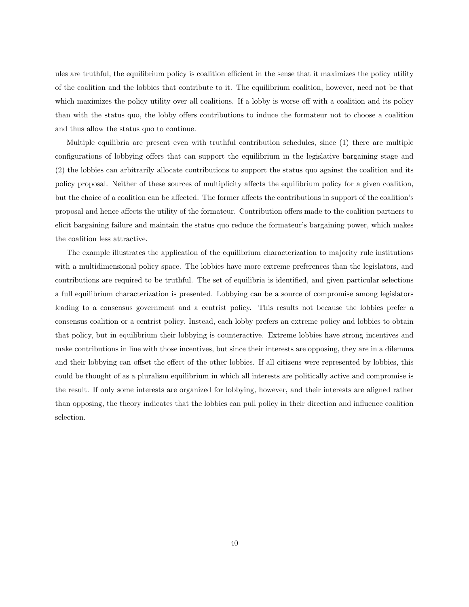ules are truthful, the equilibrium policy is coalition efficient in the sense that it maximizes the policy utility of the coalition and the lobbies that contribute to it. The equilibrium coalition, however, need not be that which maximizes the policy utility over all coalitions. If a lobby is worse off with a coalition and its policy than with the status quo, the lobby offers contributions to induce the formateur not to choose a coalition and thus allow the status quo to continue.

Multiple equilibria are present even with truthful contribution schedules, since (1) there are multiple configurations of lobbying offers that can support the equilibrium in the legislative bargaining stage and (2) the lobbies can arbitrarily allocate contributions to support the status quo against the coalition and its policy proposal. Neither of these sources of multiplicity affects the equilibrium policy for a given coalition, but the choice of a coalition can be affected. The former affects the contributions in support of the coalition's proposal and hence affects the utility of the formateur. Contribution offers made to the coalition partners to elicit bargaining failure and maintain the status quo reduce the formateur's bargaining power, which makes the coalition less attractive.

The example illustrates the application of the equilibrium characterization to majority rule institutions with a multidimensional policy space. The lobbies have more extreme preferences than the legislators, and contributions are required to be truthful. The set of equilibria is identified, and given particular selections a full equilibrium characterization is presented. Lobbying can be a source of compromise among legislators leading to a consensus government and a centrist policy. This results not because the lobbies prefer a consensus coalition or a centrist policy. Instead, each lobby prefers an extreme policy and lobbies to obtain that policy, but in equilibrium their lobbying is counteractive. Extreme lobbies have strong incentives and make contributions in line with those incentives, but since their interests are opposing, they are in a dilemma and their lobbying can offset the effect of the other lobbies. If all citizens were represented by lobbies, this could be thought of as a pluralism equilibrium in which all interests are politically active and compromise is the result. If only some interests are organized for lobbying, however, and their interests are aligned rather than opposing, the theory indicates that the lobbies can pull policy in their direction and influence coalition selection.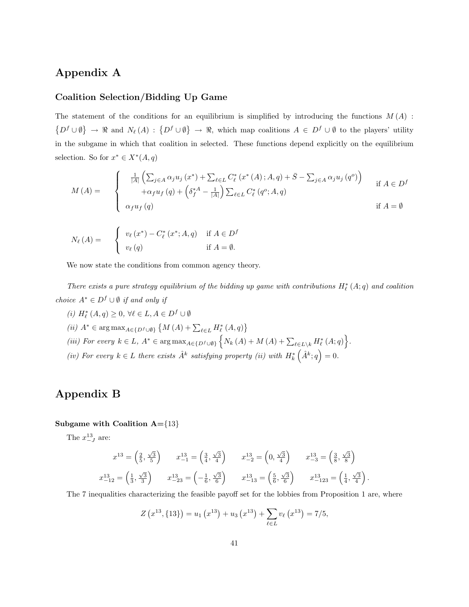# Appendix A

### Coalition Selection/Bidding Up Game

The statement of the conditions for an equilibrium is simplified by introducing the functions  $M(A)$ :  $\{D^f \cup \emptyset\} \rightarrow \Re$  and  $N_{\ell}(A) : \{D^f \cup \emptyset\} \rightarrow \Re$ , which map coalitions  $A \in D^f \cup \emptyset$  to the players' utility in the subgame in which that coalition in selected. These functions depend explicitly on the equilibrium selection. So for  $x^* \in X^*(A,q)$ 

$$
M(A) = \begin{cases} \frac{1}{|A|} \left( \sum_{j \in A} \alpha_j u_j (x^*) + \sum_{\ell \in L} C_{\ell}^* (x^* (A); A, q) + \bar{S} - \sum_{j \in A} \alpha_j u_j (q^o) \right) & \text{if } A \in D^f \\ +\alpha_f u_f (q) + \left( \delta_f^{*A} - \frac{1}{|A|} \right) \sum_{\ell \in L} C_{\ell}^* (q^o; A, q) & \text{if } A = \emptyset \end{cases}
$$

$$
N_{\ell}(A) = \begin{cases} v_{\ell}(x^*) - C_{\ell}^*(x^*; A, q) & \text{if } A \in D^f \\ v_{\ell}(q) & \text{if } A = \emptyset. \end{cases}
$$

We now state the conditions from common agency theory.

There exists a pure strategy equilibrium of the bidding up game with contributions  $H^*_{\ell}(A;q)$  and coalition *choice*  $A^*$  ∈  $D^f$  ∪  $\emptyset$  *if and only if* 

 $(i) \ H^*_{\ell}\left(A, q\right) \geq 0, \, \forall \ell \in L, A \in D^f \cup \emptyset$ (*ii*)  $A^* \in \arg \max_{A \in \{D^f \cup \emptyset\}} \{M(A) + \sum_{\ell \in L} H_{\ell}^*(A, q)\}$  $\overline{a}$ (iii) For every  $k \in L$ ,  $A^* \in \arg \max_{A \in \{D^f \cup \emptyset\}} \left\{ N_k(A) + M(A) + \sum_{\ell \in L \setminus k} H_{\ell}^*(A; q) \right\}$ o  $\in L \backslash k H_{\ell}^* (A;q) \Big\}.$ (iv) For every  $k \in L$  there exists  $\hat{A}^k$  satisfying property (ii) with  $H_k^*(\hat{A}^k; q) = 0$ .

# Appendix B

### Subgame with Coalition  $A = \{13\}$

The  $x_{-J}^{13}$  are:

$$
x^{13} = \left(\frac{2}{5}, \frac{\sqrt{3}}{5}\right) \qquad x^{13}_{-1} = \left(\frac{3}{4}, \frac{\sqrt{3}}{4}\right) \qquad x^{13}_{-2} = \left(0, \frac{\sqrt{3}}{4}\right) \qquad x^{13}_{-3} = \left(\frac{3}{8}, \frac{\sqrt{3}}{8}\right)
$$

$$
x^{13}_{-12} = \left(\frac{1}{3}, \frac{\sqrt{3}}{3}\right) \qquad x^{13}_{-23} = \left(-\frac{1}{6}, \frac{\sqrt{3}}{6}\right) \qquad x^{13}_{-13} = \left(\frac{5}{6}, \frac{\sqrt{3}}{6}\right) \qquad x^{13}_{-123} = \left(\frac{1}{4}, \frac{\sqrt{3}}{4}\right).
$$

The 7 inequalities characterizing the feasible payoff set for the lobbies from Proposition 1 are, where

$$
Z(x^{13},\{13\}) = u_1(x^{13}) + u_3(x^{13}) + \sum_{\ell \in L} v_\ell(x^{13}) = 7/5,
$$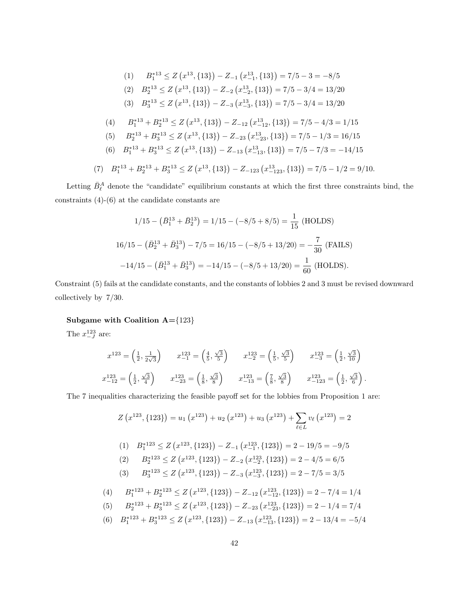(1) 
$$
B_1^{*13} \leq Z(x^{13}, \{13\}) - Z_{-1}(x_{-1}^{13}, \{13\}) = 7/5 - 3 = -8/5
$$
  
\n(2)  $B_2^{*13} \leq Z(x^{13}, \{13\}) - Z_{-2}(x_{-2}^{13}, \{13\}) = 7/5 - 3/4 = 13/20$   
\n(3)  $B_3^{*13} \leq Z(x^{13}, \{13\}) - Z_{-3}(x_{-3}^{13}, \{13\}) = 7/5 - 3/4 = 13/20$   
\n(4)  $B_1^{*13} + B_2^{*13} \leq Z(x^{13}, \{13\}) - Z_{-12}(x_{-12}^{13}, \{13\}) = 7/5 - 4/3 = 1/15$   
\n(5)  $B_2^{*13} + B_3^{*13} \leq Z(x^{13}, \{13\}) - Z_{-23}(x_{-23}^{13}, \{13\}) = 7/5 - 1/3 = 16/15$   
\n(6)  $B_1^{*13} + B_3^{*13} \leq Z(x^{13}, \{13\}) - Z_{-13}(x_{-13}^{13}, \{13\}) = 7/5 - 7/3 = -14/15$   
\n(7)  $B_1^{*13} + B_2^{*13} + B_3^{*13} \leq Z(x^{13}, \{13\}) - Z_{-123}(x_{-123}^{13}, \{13\}) = 7/5 - 1/2 = 9/10$ .

Letting  $\bar{B}_{\ell}^A$  denote the "candidate" equilibrium constants at which the first three constraints bind, the constraints (4)-(6) at the candidate constants are

$$
1/15 - (\bar{B}_1^{13} + \bar{B}_2^{13}) = 1/15 - (-8/5 + 8/5) = \frac{1}{15} \text{ (HOLDS)}
$$
  

$$
16/15 - (\bar{B}_2^{13} + \bar{B}_3^{13}) - 7/5 = 16/15 - (-8/5 + 13/20) = -\frac{7}{30} \text{ (FALS)}
$$
  

$$
-14/15 - (\bar{B}_1^{13} + \bar{B}_3^{13}) = -14/15 - (-8/5 + 13/20) = \frac{1}{60} \text{ (HOLDS)}.
$$

Constraint (5) fails at the candidate constants, and the constants of lobbies 2 and 3 must be revised downward collectively by 7/30.

### Subgame with Coalition  $A = \{123\}$

The  $x_{-J}^{123}$  are:

$$
x^{123} = \left(\frac{1}{2}, \frac{1}{2\sqrt{3}}\right) \qquad x^{123} = \left(\frac{4}{5}, \frac{\sqrt{3}}{5}\right) \qquad x^{123} = \left(\frac{1}{5}, \frac{\sqrt{3}}{5}\right) \qquad x^{123} = \left(\frac{1}{2}, \frac{\sqrt{3}}{10}\right)
$$

$$
x^{123} = \left(\frac{1}{2}, \frac{\sqrt{3}}{4}\right) \qquad x^{123} = \left(\frac{1}{8}, \frac{\sqrt{3}}{8}\right) \qquad x^{123} = \left(\frac{7}{8}, \frac{\sqrt{3}}{8}\right) \qquad x^{123} = \left(\frac{1}{2}, \frac{\sqrt{3}}{6}\right).
$$

The 7 inequalities characterizing the feasible payoff set for the lobbies from Proposition 1 are:

$$
Z(x^{123}, \{123\}) = u_1(x^{123}) + u_2(x^{123}) + u_3(x^{123}) + \sum_{\ell \in L} v_\ell(x^{123}) = 2
$$
\n
$$
(1) \quad B_1^{*123} \le Z(x^{123}, \{123\}) - Z_{-1}(x_{-1}^{123}, \{123\}) = 2 - 19/5 = -9/5
$$
\n
$$
(2) \quad B_2^{*123} \le Z(x^{123}, \{123\}) - Z_{-2}(x_{-2}^{123}, \{123\}) = 2 - 4/5 = 6/5
$$
\n
$$
(3) \quad B_3^{*123} \le Z(x^{123}, \{123\}) - Z_{-3}(x_{-3}^{123}, \{123\}) = 2 - 7/5 = 3/5
$$
\n
$$
(4) \quad B_1^{*123} + B_2^{*123} \le Z(x^{123}, \{123\}) - Z_{-12}(x_{-12}^{123}, \{123\}) = 2 - 7/4 = 1/4
$$
\n
$$
(5) \quad B_2^{*123} + B_3^{*123} \le Z(x^{123}, \{123\}) - Z_{-23}(x_{-23}^{123}, \{123\}) = 2 - 1/4 = 7/4
$$
\n
$$
(6) \quad B_2^{*123} + B_3^{*123} \le Z(x^{123}, \{123\}) - Z_{-23}(x_{-23}^{123}, \{123\}) = 2 - 1/4 = 7/4
$$

(6)  $B_1^{*123} + B_3^{*123} \leq Z$  $x^{123}, \{123\}$  $- Z_{-13} (x_{-13}^{123}, \{ 123 \}$  $= 2 - 13/4 = -5/4$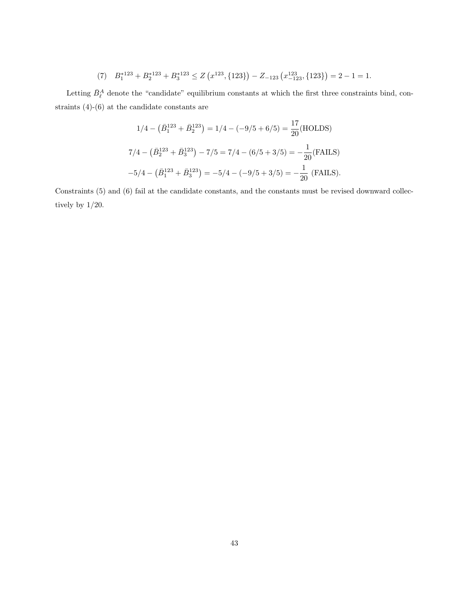(7) 
$$
B_1^{*123} + B_2^{*123} + B_3^{*123} \le Z\left(x^{123}, \{123\}\right) - Z_{-123}\left(x^{123}_{-123}, \{123\}\right) = 2 - 1 = 1.
$$

Letting  $\bar{B}_{\ell}^A$  denote the "candidate" equilibrium constants at which the first three constraints bind, constraints (4)-(6) at the candidate constants are

$$
1/4 - (\bar{B}_1^{123} + \bar{B}_2^{123}) = 1/4 - (-9/5 + 6/5) = \frac{17}{20}(\text{HOLDS})
$$
  

$$
7/4 - (\bar{B}_2^{123} + \bar{B}_3^{123}) - 7/5 = 7/4 - (6/5 + 3/5) = -\frac{1}{20}(\text{FALS})
$$
  

$$
-5/4 - (\bar{B}_1^{123} + \bar{B}_3^{123}) = -5/4 - (-9/5 + 3/5) = -\frac{1}{20}(\text{FALS}).
$$

Constraints (5) and (6) fail at the candidate constants, and the constants must be revised downward collectively by 1/20.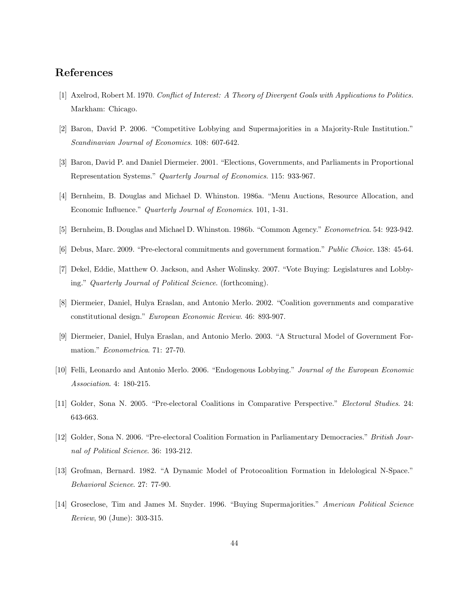# References

- [1] Axelrod, Robert M. 1970. Conflict of Interest: A Theory of Divergent Goals with Applications to Politics. Markham: Chicago.
- [2] Baron, David P. 2006. "Competitive Lobbying and Supermajorities in a Majority-Rule Institution." Scandinavian Journal of Economics. 108: 607-642.
- [3] Baron, David P. and Daniel Diermeier. 2001. "Elections, Governments, and Parliaments in Proportional Representation Systems." Quarterly Journal of Economics. 115: 933-967.
- [4] Bernheim, B. Douglas and Michael D. Whinston. 1986a. "Menu Auctions, Resource Allocation, and Economic Influence." Quarterly Journal of Economics. 101, 1-31.
- [5] Bernheim, B. Douglas and Michael D. Whinston. 1986b. "Common Agency." Econometrica. 54: 923-942.
- [6] Debus, Marc. 2009. "Pre-electoral commitments and government formation." Public Choice. 138: 45-64.
- [7] Dekel, Eddie, Matthew O. Jackson, and Asher Wolinsky. 2007. "Vote Buying: Legislatures and Lobbying." Quarterly Journal of Political Science. (forthcoming).
- [8] Diermeier, Daniel, Hulya Eraslan, and Antonio Merlo. 2002. "Coalition governments and comparative constitutional design." European Economic Review. 46: 893-907.
- [9] Diermeier, Daniel, Hulya Eraslan, and Antonio Merlo. 2003. "A Structural Model of Government Formation." Econometrica. 71: 27-70.
- [10] Felli, Leonardo and Antonio Merlo. 2006. "Endogenous Lobbying." Journal of the European Economic Association. 4: 180-215.
- [11] Golder, Sona N. 2005. "Pre-electoral Coalitions in Comparative Perspective." Electoral Studies. 24: 643-663.
- [12] Golder, Sona N. 2006. "Pre-electoral Coalition Formation in Parliamentary Democracies." British Journal of Political Science. 36: 193-212.
- [13] Grofman, Bernard. 1982. "A Dynamic Model of Protocoalition Formation in Idelological N-Space." Behavioral Science. 27: 77-90.
- [14] Groseclose, Tim and James M. Snyder. 1996. "Buying Supermajorities." American Political Science Review, 90 (June): 303-315.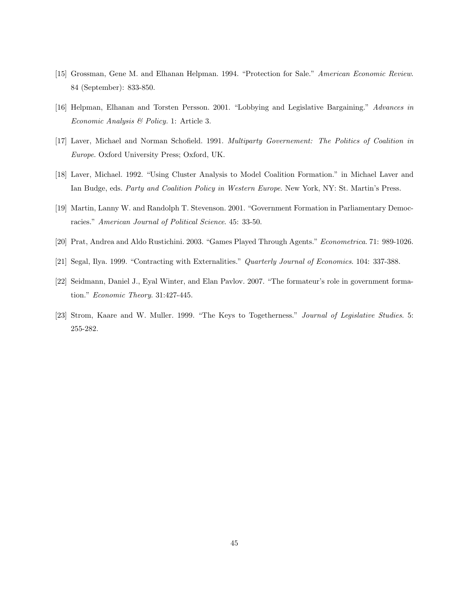- [15] Grossman, Gene M. and Elhanan Helpman. 1994. "Protection for Sale." American Economic Review. 84 (September): 833-850.
- [16] Helpman, Elhanan and Torsten Persson. 2001. "Lobbying and Legislative Bargaining." Advances in Economic Analysis & Policy. 1: Article 3.
- [17] Laver, Michael and Norman Schofield. 1991. Multiparty Governement: The Politics of Coalition in Europe. Oxford University Press; Oxford, UK.
- [18] Laver, Michael. 1992. "Using Cluster Analysis to Model Coalition Formation." in Michael Laver and Ian Budge, eds. Party and Coalition Policy in Western Europe. New York, NY: St. Martin's Press.
- [19] Martin, Lanny W. and Randolph T. Stevenson. 2001. "Government Formation in Parliamentary Democracies." American Journal of Political Science. 45: 33-50.
- [20] Prat, Andrea and Aldo Rustichini. 2003. "Games Played Through Agents." Econometrica. 71: 989-1026.
- [21] Segal, Ilya. 1999. "Contracting with Externalities." Quarterly Journal of Economics. 104: 337-388.
- [22] Seidmann, Daniel J., Eyal Winter, and Elan Pavlov. 2007. "The formateur's role in government formation." Economic Theory. 31:427-445.
- [23] Strom, Kaare and W. Muller. 1999. "The Keys to Togetherness." Journal of Legislative Studies. 5: 255-282.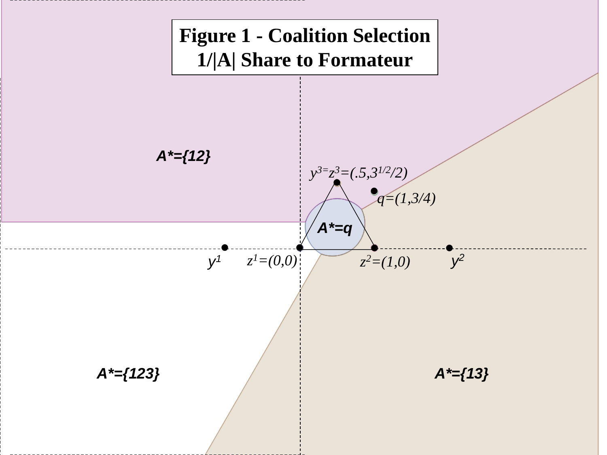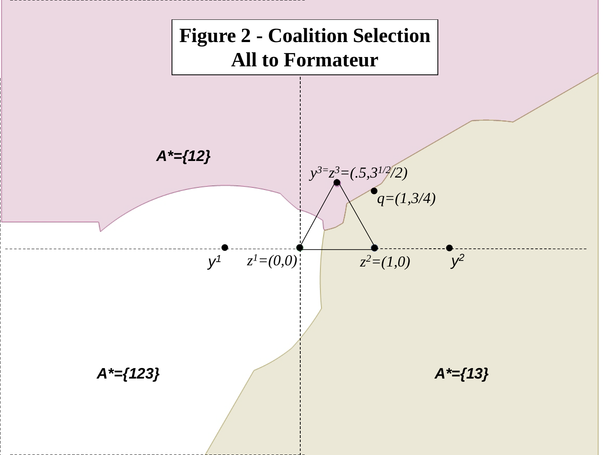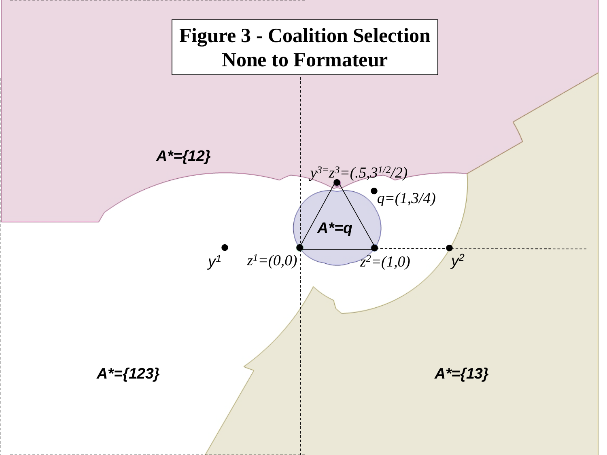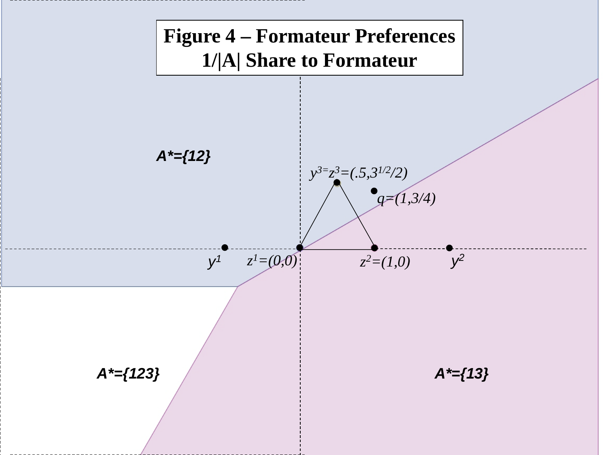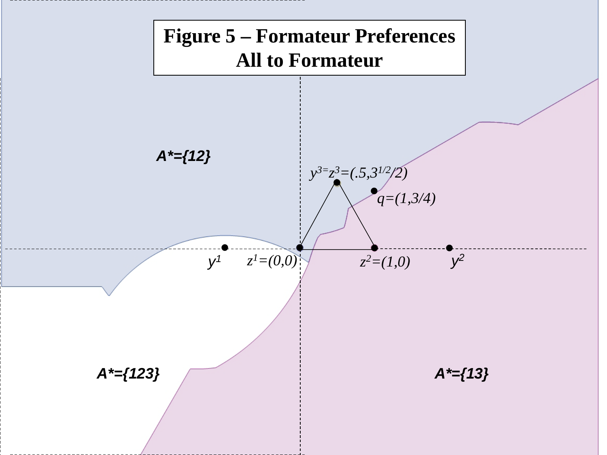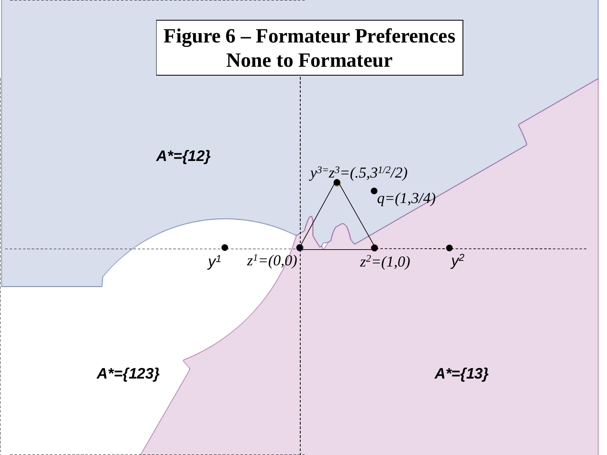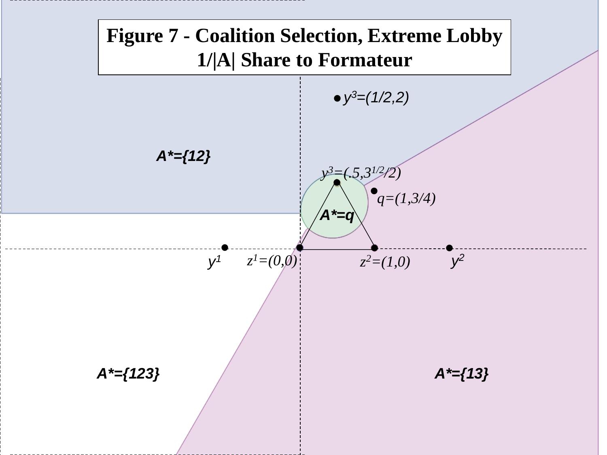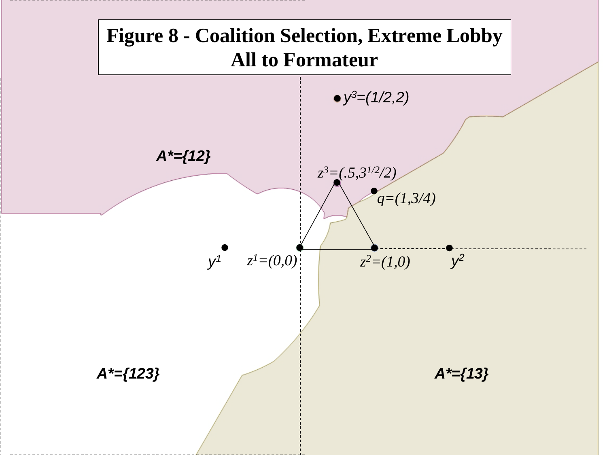

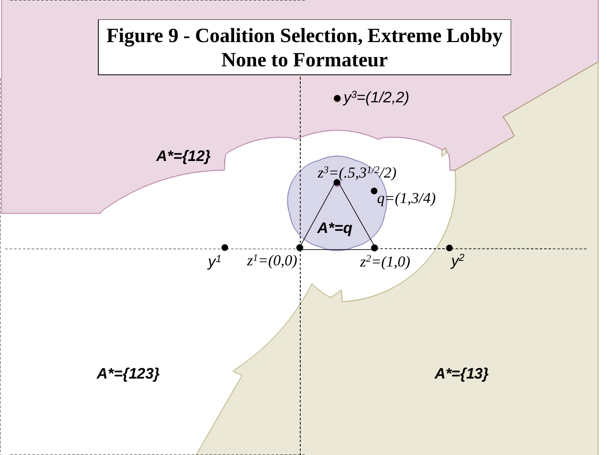